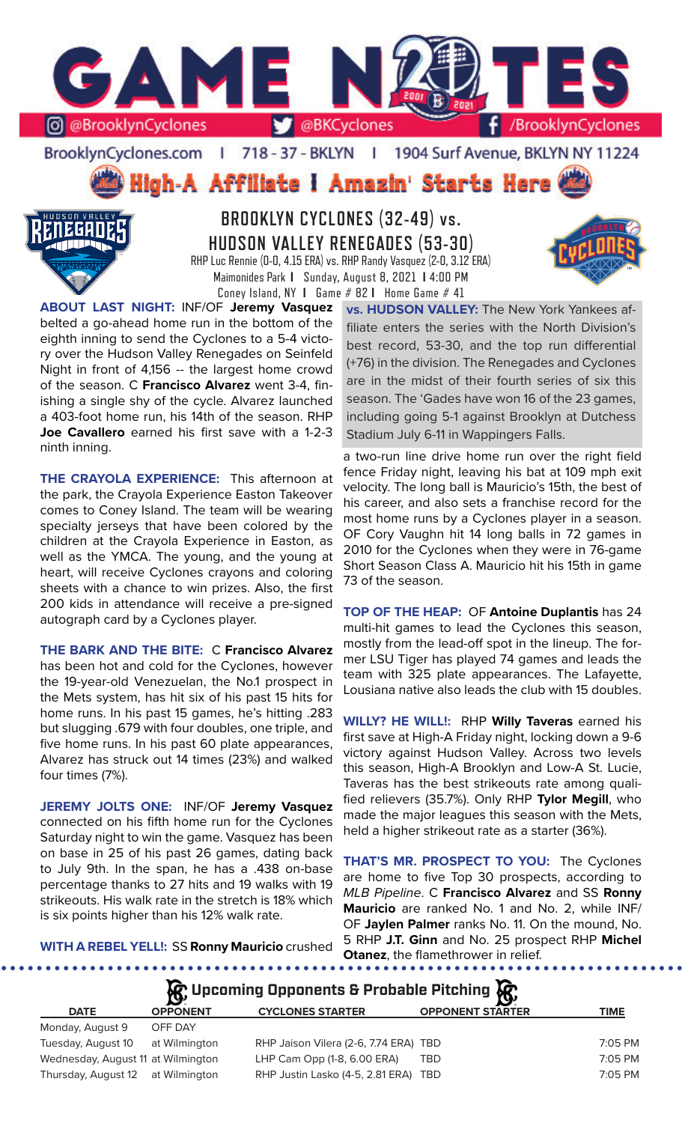

BrooklynCyclones.com | 718 - 37 - BKLYN - F 1904 Surf Avenue, BKLYN NY 11224

High-A Affiliate I Amazin' Starts Here



**BROOKLYN CYCLONES (32-49) vs. HUDSON VALLEY RENEGADES (53-30)** RHP Luc Rennie (0-0, 4.15 ERA) vs. RHP Randy Vasquez (2-0, 3.12 ERA) Maimonides Park **I** Sunday, August 8, 2021 **I** 4:00 PM Coney Island, NY **I** Game # 82 **I** Home Game # 41

**ABOUT LAST NIGHT:** INF/OF **Jeremy Vasquez**  belted a go-ahead home run in the bottom of the eighth inning to send the Cyclones to a 5-4 victory over the Hudson Valley Renegades on Seinfeld Night in front of 4,156 -- the largest home crowd of the season. C **Francisco Alvarez** went 3-4, finishing a single shy of the cycle. Alvarez launched a 403-foot home run, his 14th of the season. RHP **Joe Cavallero** earned his first save with a 1-2-3 ninth inning.

**THE CRAYOLA EXPERIENCE:** This afternoon at the park, the Crayola Experience Easton Takeover comes to Coney Island. The team will be wearing specialty jerseys that have been colored by the children at the Crayola Experience in Easton, as well as the YMCA. The young, and the young at heart, will receive Cyclones crayons and coloring sheets with a chance to win prizes. Also, the first 200 kids in attendance will receive a pre-signed autograph card by a Cyclones player.

**THE BARK AND THE BITE:** C **Francisco Alvarez**  has been hot and cold for the Cyclones, however the 19-year-old Venezuelan, the No.1 prospect in the Mets system, has hit six of his past 15 hits for home runs. In his past 15 games, he's hitting .283 but slugging .679 with four doubles, one triple, and five home runs. In his past 60 plate appearances, Alvarez has struck out 14 times (23%) and walked four times (7%).

**JEREMY JOLTS ONE:** INF/OF **Jeremy Vasquez**  connected on his fifth home run for the Cyclones Saturday night to win the game. Vasquez has been on base in 25 of his past 26 games, dating back to July 9th. In the span, he has a .438 on-base percentage thanks to 27 hits and 19 walks with 19 strikeouts. His walk rate in the stretch is 18% which is six points higher than his 12% walk rate.

**vs. HUDSON VALLEY:** The New York Yankees affiliate enters the series with the North Division's best record, 53-30, and the top run differential (+76) in the division. The Renegades and Cyclones are in the midst of their fourth series of six this season. The 'Gades have won 16 of the 23 games, including going 5-1 against Brooklyn at Dutchess Stadium July 6-11 in Wappingers Falls.

a two-run line drive home run over the right field fence Friday night, leaving his bat at 109 mph exit velocity. The long ball is Mauricio's 15th, the best of his career, and also sets a franchise record for the most home runs by a Cyclones player in a season. OF Cory Vaughn hit 14 long balls in 72 games in 2010 for the Cyclones when they were in 76-game Short Season Class A. Mauricio hit his 15th in game 73 of the season.

**TOP OF THE HEAP:** OF **Antoine Duplantis** has 24 multi-hit games to lead the Cyclones this season, mostly from the lead-off spot in the lineup. The former LSU Tiger has played 74 games and leads the team with 325 plate appearances. The Lafayette, Lousiana native also leads the club with 15 doubles.

**WILLY? HE WILL!:** RHP **Willy Taveras** earned his first save at High-A Friday night, locking down a 9-6 victory against Hudson Valley. Across two levels this season, High-A Brooklyn and Low-A St. Lucie, Taveras has the best strikeouts rate among qualified relievers (35.7%). Only RHP **Tylor Megill**, who made the major leagues this season with the Mets, held a higher strikeout rate as a starter (36%).

**THAT'S MR. PROSPECT TO YOU:** The Cyclones are home to five Top 30 prospects, according to *MLB Pipeline*. C **Francisco Alvarez** and SS **Ronny Mauricio** are ranked No. 1 and No. 2, while INF/ OF **Jaylen Palmer** ranks No. 11. On the mound, No. 5 RHP **J.T. Ginn** and No. 25 prospect RHP **Michel Otanez**, the flamethrower in relief.

**WITH A REBEL YELL!:** SS **Ronny Mauricio** crushed

. . . . . . .

............

| $\lambda$ Upcoming Opponents & Probable Pitching $\lambda$ |  |  |  |  |  |  |
|------------------------------------------------------------|--|--|--|--|--|--|
|------------------------------------------------------------|--|--|--|--|--|--|

| <b>DATE</b>                        | <b>OPPONENT</b> | <b>CYCLONES STARTER</b>               | <b>OPPONENT STARTER</b> | <b>TIME</b> |
|------------------------------------|-----------------|---------------------------------------|-------------------------|-------------|
| Monday, August 9                   | OFF DAY         |                                       |                         |             |
| Tuesday, August 10                 | at Wilmington   | RHP Jaison Vilera (2-6, 7.74 ERA) TBD |                         | $7:05$ PM   |
| Wednesday, August 11 at Wilmington |                 | LHP Cam Opp (1-8, 6.00 ERA)           | <b>TBD</b>              | 7:05 PM     |
| Thursday, August 12 at Wilmington  |                 | RHP Justin Lasko (4-5, 2.81 ERA) TBD  |                         | $7:05$ PM   |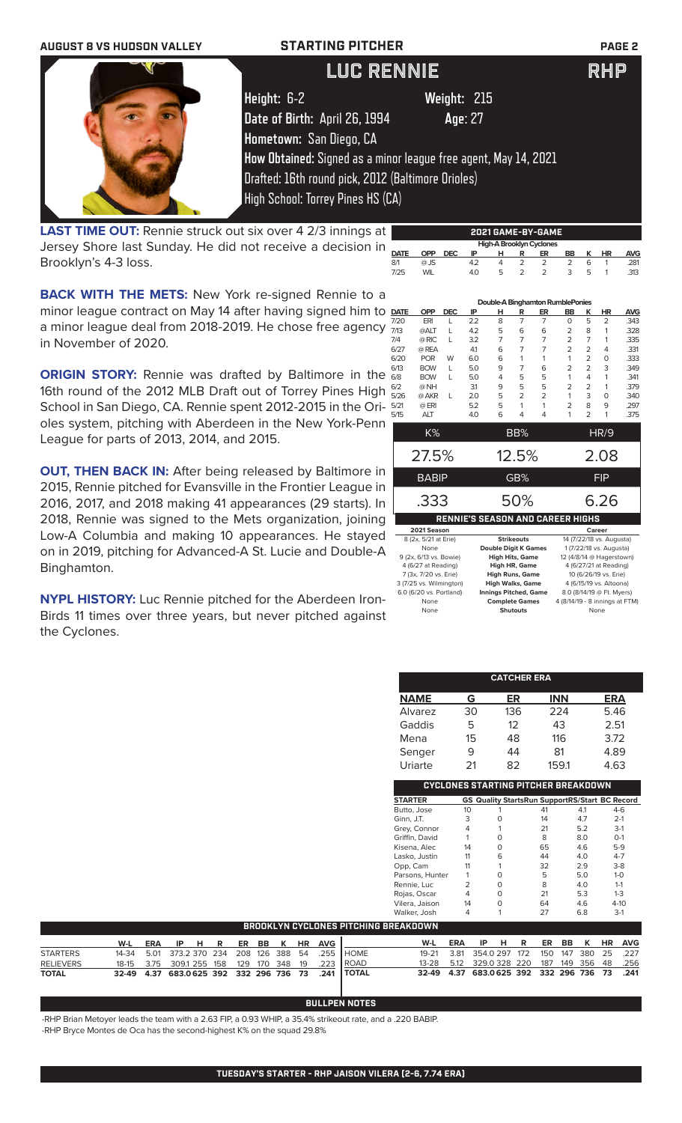

**LAST TIME OUT:** Rennie struck out six over 4 2/3 innings at Jersey Shore last Sunday. He did not receive a decision in Brooklyn's 4-3 loss.

**BACK WITH THE METS:** New York re-signed Rennie to a minor league contract on May 14 after having signed him to  $\Delta$ a minor league deal from 2018-2019. He chose free agency in November of 2020.

**ORIGIN STORY:** Rennie was drafted by Baltimore in the  $\frac{8}{9}$ 16th round of the 2012 MLB Draft out of Torrey Pines High  $\frac{6}{5}$ School in San Diego, CA. Rennie spent 2012-2015 in the Orioles system, pitching with Aberdeen in the New York-Penn League for parts of 2013, 2014, and 2015.

**OUT, THEN BACK IN:** After being released by Baltimore in 2015, Rennie pitched for Evansville in the Frontier League in 2016, 2017, and 2018 making 41 appearances (29 starts). In 2018, Rennie was signed to the Mets organization, joining Low-A Columbia and making 10 appearances. He stayed on in 2019, pitching for Advanced-A St. Lucie and Double-A Binghamton.

**NYPL HISTORY:** Luc Rennie pitched for the Aberdeen Iron-Birds 11 times over three years, but never pitched against the Cyclones.

|             |                        |            |     |                             |                      |                | Double-A Binghamton RumblePonies        |                |                        |      |  |
|-------------|------------------------|------------|-----|-----------------------------|----------------------|----------------|-----------------------------------------|----------------|------------------------|------|--|
| <b>DATE</b> | <b>OPP</b>             | <b>DEC</b> | ΙP  | н                           | R                    | ER             | BB                                      | к              | ΗR                     | AVG  |  |
| 7/20        | ERI                    | L          | 2.2 | 8                           | $\overline{7}$       | $\overline{7}$ | $\Omega$                                | 5              | $\overline{2}$         | .343 |  |
| 7/13        | @ALT                   | L          | 4.2 | 5                           | 6                    | 6              | 2                                       | 8              | 1                      | .328 |  |
| 7/4         | @ RIC                  | L          | 3.2 | 7                           | 7                    | $\overline{7}$ | 2                                       | 7              | 1                      | .335 |  |
| 6/27        | @ REA                  |            | 41  | 6                           | 7                    | 7              | $\overline{2}$                          | $\overline{2}$ | 4                      | .331 |  |
| 6/20        | <b>POR</b>             | W          | 6.0 | 6                           | 1                    | 1              | 1                                       | 2              | 0                      | .333 |  |
| 6/13        | <b>BOW</b>             | L          | 5.0 | 9                           | 7                    | 6              | 2                                       | $\overline{2}$ | 3                      | .349 |  |
| 6/8         | <b>BOW</b>             | L          | 5.0 | 4                           | 5                    | 5              | 1                                       | 4              | 1                      | .341 |  |
| 6/2         | @NH                    |            | 3.1 | 9                           | 5                    | 5              | 2                                       | 2              | 1                      | .379 |  |
| 5/26        | @ AKR                  | L          | 2.0 | 5                           | 2                    | $\overline{2}$ | 1                                       | 3              | 0                      | .340 |  |
| 5/21        | @ ERI                  |            | 5.2 | 5                           | 1                    | 1              | $\overline{2}$                          | 8              | 9                      | .297 |  |
| 5/15        | <b>ALT</b>             |            | 4.0 | 6                           | 4                    | 4              | 1                                       | $\overline{2}$ | 1                      | .375 |  |
|             | K%                     |            |     |                             | BB%                  |                |                                         |                | HR/9                   |      |  |
|             | 27.5%                  |            |     |                             | 12.5%                |                |                                         |                | 2.08                   |      |  |
|             | BABIP                  |            |     |                             | GB%                  |                | <b>FIP</b>                              |                |                        |      |  |
|             | .333                   |            |     |                             | 50%                  |                | 6.26                                    |                |                        |      |  |
|             |                        |            |     |                             |                      |                | <b>RENNIE'S SEASON AND CAREER HIGHS</b> |                |                        |      |  |
|             | 2021 Season            |            |     |                             |                      |                |                                         |                | Career                 |      |  |
|             | 8 (2x, 5/21 at Erie)   |            |     |                             | <b>Strikeouts</b>    |                | 14 (7/22/18 vs. Augusta)                |                |                        |      |  |
|             | None                   |            |     | <b>Double Digit K Games</b> |                      |                | 1 (7/22/18 vs. Augusta)                 |                |                        |      |  |
|             | 9 (2x, 6/13 vs. Bowie) |            |     | <b>High Hits, Game</b>      |                      |                | 12 (4/8/14 @ Hagerstown)                |                |                        |      |  |
|             | 4 (6/27 at Reading)    |            |     |                             | <b>High HR, Game</b> |                |                                         |                | 4 (6/27/21 at Reading) |      |  |

**DATE OPP DEC IP H R ER BB K HR AVG** 8/1 @ JS 4.2 4 2 2 2 6 1 .281 7/25 WIL 4.0 5 2 2 3 5 1 .313

 **High-A Brooklyn Cyclones** 

| None                    | <b>Double Digit K Games</b>  | 1 (7/22/18 vs. Augusta)        |
|-------------------------|------------------------------|--------------------------------|
| 9 (2x, 6/13 vs. Bowie)  | <b>High Hits, Game</b>       | 12 (4/8/14 @ Hagerstown)       |
| 4 (6/27 at Reading)     | High HR, Game                | 4 (6/27/21 at Reading)         |
| 7 (3x, 7/20 vs. Erie)   | <b>High Runs, Game</b>       | 10 (6/26/19 vs. Erie)          |
| 3 (7/25 vs. Wilmington) | <b>High Walks, Game</b>      | 4 (6/15/19 vs. Altoona)        |
| 6.0 (6/20 vs. Portland) | <b>Innings Pitched, Game</b> | 8.0 (8/14/19 @ Ft. Myers)      |
| None                    | <b>Complete Games</b>        | 4 (8/14/19 - 8 innings at FTM) |
| None                    | <b>Shutouts</b>              | None                           |
|                         |                              |                                |

| <b>CATCHER ERA</b> |    |                                            |            |     |                                                       |  |  |  |  |  |  |
|--------------------|----|--------------------------------------------|------------|-----|-------------------------------------------------------|--|--|--|--|--|--|
| <b>NAME</b>        | G  | ER                                         | <b>INN</b> |     | ERA                                                   |  |  |  |  |  |  |
| <b>Alvarez</b>     | 30 | 136                                        | 224        |     | 5.46                                                  |  |  |  |  |  |  |
| Gaddis             | 5  | 12                                         | 43         |     | 2.51                                                  |  |  |  |  |  |  |
| Mena               | 15 | 48                                         | 116        |     | 3.72                                                  |  |  |  |  |  |  |
| Senger             | 9  | 44                                         | 81         |     | 4.89                                                  |  |  |  |  |  |  |
| Uriarte            | 21 | 82                                         | 159.1      |     | 4.63                                                  |  |  |  |  |  |  |
|                    |    | <b>CYCLONES STARTING PITCHER BREAKDOWN</b> |            |     |                                                       |  |  |  |  |  |  |
| <b>STARTER</b>     |    |                                            |            |     | <b>GS Quality StartsRun SupportRS/Start BC Record</b> |  |  |  |  |  |  |
| Butto, Jose        | 10 |                                            | 41         | 4.1 | $4-6$                                                 |  |  |  |  |  |  |
| Ginn, J.T.         | 3  | ი                                          | 14         | 4.7 | $2 - 1$                                               |  |  |  |  |  |  |
| Grey, Connor       | 4  |                                            | 21         | 5.2 | $3-1$                                                 |  |  |  |  |  |  |
| Griffin, David     | 1  | O                                          | 8          | 8.0 | $O-1$                                                 |  |  |  |  |  |  |
| Kisena, Alec       | 14 | 0                                          | 65         | 4.6 | $5-9$                                                 |  |  |  |  |  |  |
| Lasko, Justin      | 11 | 6                                          | 44         | 4.0 | $4 - 7$                                               |  |  |  |  |  |  |

0pp, Cam 11 1 32 2.9 3-8<br>
Parsons, Hunter 1 0 5 5.0 1-0<br>
Rennie, Luc 2 0 8 4.0 1-1

Rennie, Luc 2 0 8 4.0 1-1<br>
Rojas, Oscar 4 0 21 5.3 1-3

Vilera, Jaison 14 0 64 4.6 4-10

Parsons, Hunter

Rojas, Oscar

|                                       |       |                    |               |     |  |                |           |   |           |            |                                                   | Walker, Josh |      |                             |     |   |     |     | 6.8     |           | $3-1$      |
|---------------------------------------|-------|--------------------|---------------|-----|--|----------------|-----------|---|-----------|------------|---------------------------------------------------|--------------|------|-----------------------------|-----|---|-----|-----|---------|-----------|------------|
| BROOKLYN CYCLONES PITCHING BREAKDOWN. |       |                    |               |     |  |                |           |   |           |            |                                                   |              |      |                             |     |   |     |     |         |           |            |
|                                       | W-L   | <b>ERA</b>         | IP            | HR. |  | ER             | <b>BB</b> | K | <b>HR</b> | <b>AVG</b> |                                                   | W-L          | ERA  | IP.                         | -н. | R | ER. | BB. | . K .   | <b>HR</b> | <b>AVG</b> |
| <b>STARTERS</b>                       | 14-34 | 5.01               | 373.2 370 234 |     |  | 208 126 388 54 |           |   |           | 255        | <b>I</b> HOME                                     | 19-21        | 3.81 | 354.0 297 172               |     |   | 150 |     | 147 380 | - 25      | - 227      |
| <b>RELIEVERS</b>                      | 18-15 | 3.75 309.1 255 158 |               |     |  | 129 170 348 19 |           |   |           | .223       | <b>ROAD</b>                                       | $13 - 28$    | 5.12 | 329.0 328 220               |     |   | 187 |     | 149 356 | 48        | .256       |
| <b>TOTAL</b>                          |       |                    |               |     |  |                |           |   |           |            | 32-49 4.37 683.0625 392 332 296 736 73 .241 TOTAL | 32-49 4.37   |      | 683.0625 392 332 296 736 73 |     |   |     |     |         |           | .241       |

### **BULLPEN NOTES**

-RHP Brian Metoyer leads the team with a 2.63 FIP, a 0.93 WHIP, a 35.4% strikeout rate, and a .220 BABIP.

-RHP Bryce Montes de Oca has the second-highest K% on the squad 29.8%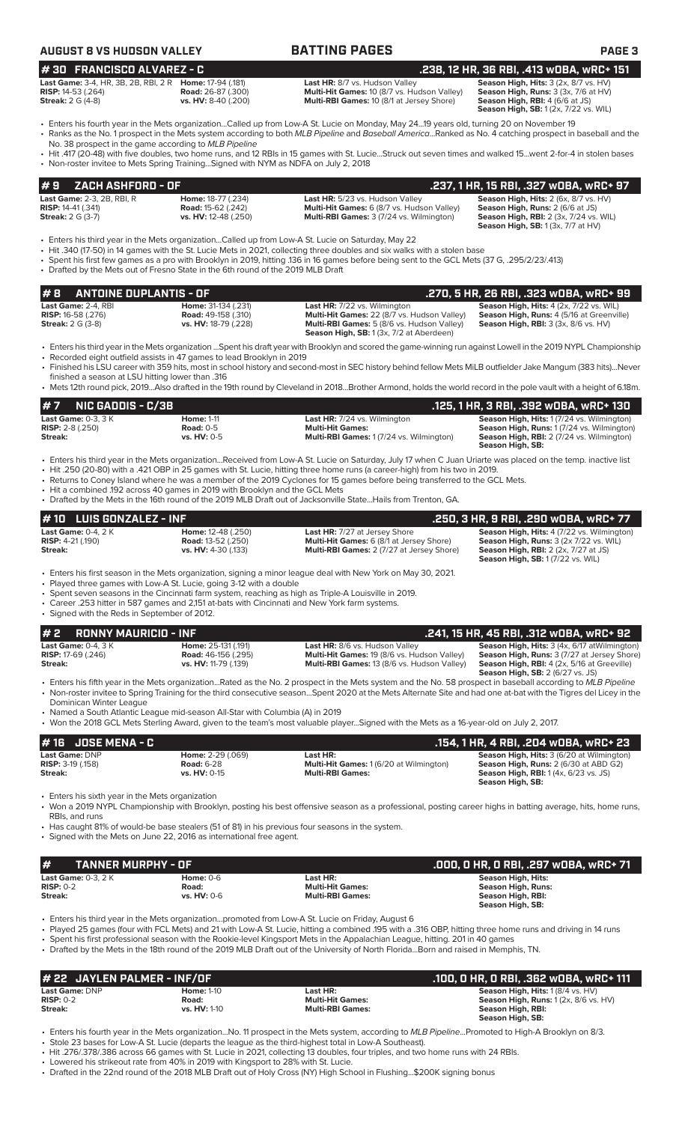| AUGUST 8 VS HUDSON VALLEY                                                                                                                                 |                                                                                     | <b>BATTING PAGES</b>                                                                                                                                                                                                                                                                                                                                                                                                                                                                                                                          | <b>PAGE 3</b>                                                                                                                                                                          |
|-----------------------------------------------------------------------------------------------------------------------------------------------------------|-------------------------------------------------------------------------------------|-----------------------------------------------------------------------------------------------------------------------------------------------------------------------------------------------------------------------------------------------------------------------------------------------------------------------------------------------------------------------------------------------------------------------------------------------------------------------------------------------------------------------------------------------|----------------------------------------------------------------------------------------------------------------------------------------------------------------------------------------|
| #30 FRANCISCO ALVAREZ - C                                                                                                                                 |                                                                                     |                                                                                                                                                                                                                                                                                                                                                                                                                                                                                                                                               | .238, 12 HR, 36 RBI, .413 WOBA, WRC+ 151                                                                                                                                               |
| Last Game: 3-4, HR, 3B, 2B, RBI, 2 R Home: 17-94 (.181)<br><b>RISP:</b> 14-53 (.264)<br><b>Streak: 2 G (4-8)</b>                                          | <b>Road:</b> 26-87 (.300)<br>vs. HV: 8-40 (.200)                                    | Last HR: 8/7 vs. Hudson Valley<br>Multi-Hit Games: 10 (8/7 vs. Hudson Valley)<br>Multi-RBI Games: 10 (8/1 at Jersey Shore)                                                                                                                                                                                                                                                                                                                                                                                                                    | Season High, Hits: 3 (2x, 8/7 vs. HV)<br>Season High, Runs: 3 (3x, 7/6 at HV)<br>Season High, RBI: 4 (6/6 at JS)<br><b>Season High, SB:</b> 1 (2x, 7/22 vs. WIL)                       |
| No. 38 prospect in the game according to MLB Pipeline                                                                                                     | • Non-roster invitee to Mets Spring TrainingSigned with NYM as NDFA on July 2, 2018 | • Enters his fourth year in the Mets organization…Called up from Low-A St. Lucie on Monday, May 24…19 years old, turning 20 on November 19<br>• Ranks as the No. 1 prospect in the Mets system according to both MLB Pipeline and Baseball AmericaRanked as No. 4 catching prospect in baseball and the<br>∙ Hit .417 (20-48) with five doubles, two home runs, and 12 RBIs in 15 games with St. Lucie…Struck out seven times and walked 15…went 2-for-4 in stolen bases                                                                      |                                                                                                                                                                                        |
| ZACH ASHFORD - OF<br>#9                                                                                                                                   |                                                                                     |                                                                                                                                                                                                                                                                                                                                                                                                                                                                                                                                               | .237, 1 HR, 15 RBI, .327 wOBA, wRC+ 97                                                                                                                                                 |
| Last Game: 2-3, 2B, RBI, R<br><b>RISP:</b> 14-41 (.341)<br><b>Streak:</b> 2 G (3-7)                                                                       | Home: 18-77 (.234)<br><b>Road: 15-62 (.242)</b><br>vs. HV: 12-48 (.250)             | Last HR: 5/23 vs. Hudson Valley<br>Multi-Hit Games: 6 (8/7 vs. Hudson Valley)<br>Multi-RBI Games: 3 (7/24 vs. Wilmington)                                                                                                                                                                                                                                                                                                                                                                                                                     | Season High, Hits: 2 (6x, 8/7 vs. HV)<br>Season High, Runs: 2 (6/6 at JS)<br><b>Season High, RBI: 2 (3x, 7/24 vs. WIL)</b><br><b>Season High, SB:</b> 1 (3x, 7/7 at HV)                |
|                                                                                                                                                           | • Drafted by the Mets out of Fresno State in the 6th round of the 2019 MLB Draft    | Enters his third year in the Mets organizationCalled up from Low-A St. Lucie on Saturday, May 22 •<br>Hit .340 (17-50) in 14 games with the St. Lucie Mets in 2021, collecting three doubles and six walks with a stolen base<br>• Spent his first few games as a pro with Brooklyn in 2019, hitting .136 in 16 games before being sent to the GCL Mets (37 G, .295/2/23/.413)                                                                                                                                                                |                                                                                                                                                                                        |
| <b>ANTOINE DUPLANTIS - OF</b><br>#8                                                                                                                       |                                                                                     |                                                                                                                                                                                                                                                                                                                                                                                                                                                                                                                                               | .270, 5 HR, 26 RBI, .323 wOBA, wRC+ 99                                                                                                                                                 |
| Last Game: 2-4. RBI<br><b>RISP:</b> 16-58 (.276)<br><b>Streak: 2 G (3-8)</b>                                                                              | Home: 31-134 (.231)<br><b>Road: 49-158 (.310)</b><br>vs. HV: 18-79 (.228)           | Last HR: 7/22 vs. Wilmington<br>Multi-Hit Games: 22 (8/7 vs. Hudson Valley)<br>Multi-RBI Games: 5 (8/6 vs. Hudson Valley)<br>Season High, SB: 1 (3x, 7/2 at Aberdeen)                                                                                                                                                                                                                                                                                                                                                                         | Season High, Hits: 4 (2x, 7/22 vs. WIL)<br>Season High, Runs: 4 (5/16 at Greenville)<br><b>Season High, RBI:</b> 3 (3x, 8/6 vs. HV)                                                    |
| finished a season at LSU hitting lower than .316                                                                                                          | • Recorded eight outfield assists in 47 games to lead Brooklyn in 2019              | • Enters his third year in the Mets organization Spent his draft year with Brooklyn and scored the game-winning run against Lowell in the 2019 NYPL Championship<br>• Finished his LSU career with 359 hits, most in school history and second-most in SEC history behind fellow Mets MiLB outfielder Jake Mangum (383 hits)Never                                                                                                                                                                                                             |                                                                                                                                                                                        |
|                                                                                                                                                           |                                                                                     | • Mets 12th round pick, 2019Also drafted in the 19th round by Cleveland in 2018Brother Armond, holds the world record in the pole vault with a height of 6.18m.                                                                                                                                                                                                                                                                                                                                                                               |                                                                                                                                                                                        |
| <b>NIC GADDIS - C/3B</b><br>#7                                                                                                                            |                                                                                     |                                                                                                                                                                                                                                                                                                                                                                                                                                                                                                                                               | .125, 1 HR, 3 RBI, .392 wOBA, wRC+ 130                                                                                                                                                 |
| Last Game: 0-3, 3 K                                                                                                                                       | <b>Home: 1-11</b><br><b>Road: 0-5</b>                                               | <b>Last HR:</b> 7/24 vs. Wilmington<br><b>Multi-Hit Games:</b>                                                                                                                                                                                                                                                                                                                                                                                                                                                                                | Season High, Hits: 1 (7/24 vs. Wilmington)                                                                                                                                             |
| <b>RISP:</b> 2-8 (.250)                                                                                                                                   | vs. HV: 0-5                                                                         | Multi-RBI Games: 1 (7/24 vs. Wilmington)                                                                                                                                                                                                                                                                                                                                                                                                                                                                                                      | Season High, Runs: 1 (7/24 vs. Wilmington)<br>Season High, RBI: 2 (7/24 vs. Wilmington)<br>Season High, SB:                                                                            |
|                                                                                                                                                           | • Hit a combined .192 across 40 games in 2019 with Brooklyn and the GCL Mets        | • Enters his third year in the Mets organizationReceived from Low-A St. Lucie on Saturday, July 17 when C Juan Uriarte was placed on the temp. inactive list<br>• Hit .250 (20-80) with a .421 OBP in 25 games with St. Lucie, hitting three home runs (a career-high) from his two in 2019.<br>• Returns to Coney Island where he was a member of the 2019 Cyclones for 15 games before being transferred to the GCL Mets.<br>• Drafted by the Mets in the 16th round of the 2019 MLB Draft out of Jacksonville StateHails from Trenton, GA. |                                                                                                                                                                                        |
| <b>LUIS GONZALEZ - INF</b><br># 10                                                                                                                        |                                                                                     |                                                                                                                                                                                                                                                                                                                                                                                                                                                                                                                                               | .250, 3 HR, 9 RBI, .290 w0BA, wRC+ 77                                                                                                                                                  |
| <b>RISP:</b> 4-21 (.190)                                                                                                                                  | Home: 12-48 (.250)<br><b>Road: 13-52 (.250)</b><br>vs. HV: 4-30 (.133)              | <b>Last HR: 7/27 at Jersey Shore</b><br>Multi-Hit Games: 6 (8/1 at Jersey Shore)<br>Multi-RBI Games: 2 (7/27 at Jersey Shore)                                                                                                                                                                                                                                                                                                                                                                                                                 | Season High, Hits: 4 (7/22 vs. Wilmington)<br>Season High, Runs: 3 (2x 7/22 vs. WIL)<br><b>Season High, RBI:</b> 2 (2x, 7/27 at JS)<br><b>Season High, SB: 1 (7/22 vs. WIL)</b>        |
| • Signed with the Reds in September of 2012.                                                                                                              | • Played three games with Low-A St. Lucie, going 3-12 with a double                 | • Enters his first season in the Mets organization, signing a minor league deal with New York on May 30, 2021.<br>• Spent seven seasons in the Cincinnati farm system, reaching as high as Triple-A Louisville in 2019.<br>• Career .253 hitter in 587 games and 2,151 at-bats with Cincinnati and New York farm systems.                                                                                                                                                                                                                     |                                                                                                                                                                                        |
| <b>RONNY MAURICIO - INF</b><br>#2                                                                                                                         |                                                                                     |                                                                                                                                                                                                                                                                                                                                                                                                                                                                                                                                               | .241, 15 HR, 45 RBI, .312 wOBA, wRC+ 92                                                                                                                                                |
| <b>RISP:</b> 17-69 (.246)                                                                                                                                 | Home: 25-131 (.191)<br><b>Road:</b> 46-156 (.295)<br>vs. HV: 11-79 (.139)           | Last HR: 8/6 vs. Hudson Valley<br>Multi-Hit Games: 19 (8/6 vs. Hudson Valley)<br>Multi-RBI Games: 13 (8/6 vs. Hudson Valley)                                                                                                                                                                                                                                                                                                                                                                                                                  | Season High, Hits: 3 (4x, 6/17 at Wilmington)<br>Season High, Runs: 3 (7/27 at Jersey Shore)<br>Season High, RBI: 4 (2x, 5/16 at Greeville)<br><b>Season High, SB: 2 (6/27 vs. JS)</b> |
| Dominican Winter League                                                                                                                                   |                                                                                     | • Enters his fifth year in the Mets organizationRated as the No. 2 prospect in the Mets system and the No. 58 prospect in baseball according to MLB Pipeline<br>• Non-roster invitee to Spring Training for the third consecutive seasonSpent 2020 at the Mets Alternate Site and had one at-bat with the Tigres del Licey in the                                                                                                                                                                                                             |                                                                                                                                                                                        |
|                                                                                                                                                           | • Named a South Atlantic League mid-season All-Star with Columbia (A) in 2019       | • Won the 2018 GCL Mets Sterling Award, given to the team's most valuable playerSigned with the Mets as a 16-year-old on July 2, 2017.                                                                                                                                                                                                                                                                                                                                                                                                        |                                                                                                                                                                                        |
| <b>JOSE MENA - C</b><br># 16                                                                                                                              |                                                                                     |                                                                                                                                                                                                                                                                                                                                                                                                                                                                                                                                               | .154, 1 HR, 4 RBI, .204 w0BA, wRC+ 23                                                                                                                                                  |
| Streak:<br><b>Last Game: 0-4, 2 K</b><br>Streak:<br><b>Last Game: 0-4, 3 K</b><br>Streak:<br>Last Game: DNP<br><b>RISP:</b> 3-19 (.158)<br><b>Streak:</b> | Home: 2-29 (.069)<br><b>Road: 6-28</b><br>vs. HV: 0-15                              | Last HR:<br>Multi-Hit Games: 1 (6/20 at Wilmington)<br><b>Multi-RBI Games:</b>                                                                                                                                                                                                                                                                                                                                                                                                                                                                | Season High, Hits: 3 (6/20 at Wilmington)<br>Season High, Runs: 2 (6/30 at ABD G2)<br><b>Season High, RBI:</b> 1 (4x, 6/23 vs. JS)<br>Season High, SB:                                 |
| • Enters his sixth year in the Mets organization<br>RBIs, and runs                                                                                        |                                                                                     | • Won a 2019 NYPL Championship with Brooklyn, posting his best offensive season as a professional, posting career highs in batting average, hits, home runs,<br>Has caught 81% of would-be base stealers (51 of 81) in his previous four seasons in the system.                                                                                                                                                                                                                                                                               |                                                                                                                                                                                        |
|                                                                                                                                                           | • Signed with the Mets on June 22, 2016 as international free agent.                |                                                                                                                                                                                                                                                                                                                                                                                                                                                                                                                                               |                                                                                                                                                                                        |
| <b>TANNER MURPHY - OF</b><br>#                                                                                                                            |                                                                                     |                                                                                                                                                                                                                                                                                                                                                                                                                                                                                                                                               | .000, 0 HR, 0 RBI, .297 w0BA, wRC+ 71                                                                                                                                                  |
| Last Game: 0-3, 2 K<br><b>RISP: 0-2</b>                                                                                                                   | <b>Home: 0-6</b><br>Road:                                                           | Last HR:<br><b>Multi-Hit Games:</b>                                                                                                                                                                                                                                                                                                                                                                                                                                                                                                           | <b>Season High, Hits:</b><br><b>Season High, Runs:</b>                                                                                                                                 |

**# 22 JAYLEN PALMER - INF/OF**<br>
Last Game: DNP<br>
RISP: 0-2 Road: Prices: Prices: Prices: Prices: Prices: Prices: Prices: Prices: Prices: Prices: Prices: Prices: Prices: Prices: Prices: Prices: Prices: Prices: Prices: Prices: **Last Game:** DNP **Home:** 1-10 **Last HR: Season High, Hits:** 1 (8/4 vs. HV) **RISP:** 0-2 **Road: Multi-Hit Games: Season High, Runs:** 1 (2x, 8/6 vs. HV) **Streak: vs. HV:** 1-10 **Multi-RBI Games: Season High, RBI: Season High, SB:** 

• Enters his fourth year in the Mets organization...No. 11 prospect in the Mets system, according to *MLB Pipeline*...Promoted to High-A Brooklyn on 8/3. • Stole 23 bases for Low-A St. Lucie (departs the league as the third-highest total in Low-A Southeast).

• Hit .276/.378/.386 across 66 games with St. Lucie in 2021, collecting 13 doubles, four triples, and two home runs with 24 RBIs.

• Lowered his strikeout rate from 40% in 2019 with Kingsport to 28% with St. Lucie.

• Drafted in the 22nd round of the 2018 MLB Draft out of Holy Cross (NY) High School in Flushing...\$200K signing bonus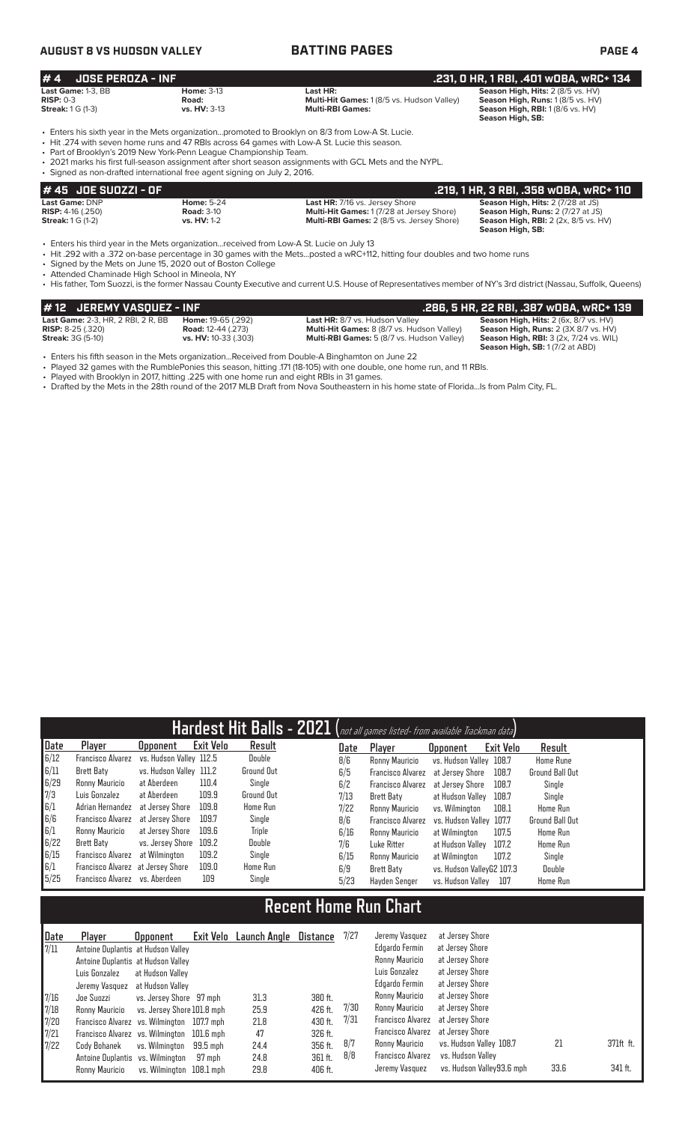### **AUGUST 8 VS HUDSON VALLEY BATTING PAGES PAGE 4**

|                          | .231, 0 HR, 1 RBI, .401 w0BA, wRC+ 134<br>$# 4$ JOSE PEROZA - INF |                                                                                                   |                                                   |                                   |  |  |  |  |  |  |  |  |
|--------------------------|-------------------------------------------------------------------|---------------------------------------------------------------------------------------------------|---------------------------------------------------|-----------------------------------|--|--|--|--|--|--|--|--|
|                          | Last Game: 1-3. BB                                                | <b>Home: 3-13</b>                                                                                 | Last HR:                                          | Season High, Hits: 2 (8/5 vs. HV) |  |  |  |  |  |  |  |  |
| $RISP: 0-3$              |                                                                   | Road:                                                                                             | <b>Multi-Hit Games: 1 (8/5 vs. Hudson Valley)</b> | Season High, Runs: 1 (8/5 vs. HV) |  |  |  |  |  |  |  |  |
| <b>Streak: 1 G (1-3)</b> |                                                                   | <b>vs. HV: 3-13</b>                                                                               | <b>Multi-RBI Games:</b>                           | Season High, RBI: 1(8/6 vs. HV)   |  |  |  |  |  |  |  |  |
|                          |                                                                   |                                                                                                   |                                                   | Season High, SB:                  |  |  |  |  |  |  |  |  |
|                          |                                                                   | - Enters his sixth year in the Mets organizationpromoted to Brooklyn on 8/3 from Low-A St. Lucie. |                                                   |                                   |  |  |  |  |  |  |  |  |
|                          |                                                                   | • Hit .274 with seven home runs and 47 RBIs across 64 games with Low-A St. Lucie this season.     |                                                   |                                   |  |  |  |  |  |  |  |  |
|                          |                                                                   | • Part of Brooklyn's 2019 New York-Penn League Championship Team.                                 |                                                   |                                   |  |  |  |  |  |  |  |  |
|                          |                                                                   |                                                                                                   |                                                   |                                   |  |  |  |  |  |  |  |  |

• 2021 marks his first full-season assignment after short season assignments with GCL Mets and the NYPL.

• Signed as non-drafted international free agent signing on July 2, 2016.

| $#45$ JOE SUOZZI - OF               |                    |                                                  | .219. 1 HR. 3 RBI. .358 WOBA. WRC+ 110      |
|-------------------------------------|--------------------|--------------------------------------------------|---------------------------------------------|
| Last Game: DNP                      | <b>Home: 5-24</b>  | <b>Last HR: 7/16 vs. Jersey Shore</b>            | <b>Season High, Hits: 2 (7/28 at JS)</b>    |
| <b>RISP:</b> $4-16$ $(.250)$        | <b>Road: 3-10</b>  | <b>Multi-Hit Games: 1(7/28 at Jersey Shore)</b>  | <b>Season High, Runs: 2 (7/27 at JS)</b>    |
| <b>Streak:</b> $1 \text{ } G$ (1-2) | <b>vs. HV: 1-2</b> | <b>Multi-RBI Games: 2 (8/5 vs. Jersey Shore)</b> | <b>Season High, RBI:</b> 2 (2x, 8/5 vs. HV) |
|                                     |                    |                                                  | Season High, SB:                            |

• Enters his third year in the Mets organization...received from Low-A St. Lucie on July 13

• Hit .292 with a .372 on-base percentage in 30 games with the Mets...posted a wRC+112, hitting four doubles and two home runs

• Signed by the Mets on June 15, 2020 out of Boston College

• Attended Chaminade High School in Mineola, NY

• His father, Tom Suozzi, is the former Nassau County Executive and current U.S. House of Representatives member of NY's 3rd district (Nassau, Suffolk, Queens)

| # 12 JEREMY VASOUEZ - INF                 |                             |                                                   | .286. 5 HR. 22 RBI. .387 WOBA. wRC+ 139       |
|-------------------------------------------|-----------------------------|---------------------------------------------------|-----------------------------------------------|
| <b>Last Game:</b> 2-3, HR, 2 RBI, 2 R, BB | <b>Home: 19-65 (.292)</b>   | Last HR: 8/7 vs. Hudson Valley                    | <b>Season High, Hits: 2 (6x, 8/7 vs. HV)</b>  |
| <b>RISP:</b> $8-25$ (.320)                | <b>Road:</b> 12-44 (.273)   | Multi-Hit Games: 8 (8/7 vs. Hudson Valley)        | <b>Season High, Runs: 2 (3X 8/7 vs. HV)</b>   |
| <b>Streak:</b> 3G (5-10)                  | <b>vs. HV:</b> 10-33 (.303) | <b>Multi-RBI Games:</b> 5 (8/7 vs. Hudson Valley) | <b>Season High, RBI: 3 (2x, 7/24 vs. WIL)</b> |
|                                           |                             |                                                   | <b>Season High, SB: 1 (7/2 at ABD)</b>        |

• Enters his fifth season in the Mets organization...Received from Double-A Binghamton on June 22

• Played 32 games with the RumblePonies this season, hitting .171 (18-105) with one double, one home run, and 11 RBIs.

• Played with Brooklyn in 2017, hitting .225 with one home run and eight RBIs in 31 games.

• Drafted by the Mets in the 28th round of the 2017 MLB Draft from Nova Southeastern in his home state of Florida...Is from Palm City, FL.

|      |                                   |                         |                  |            |      | Hardest Hit Balls - 2021 (not all games listed- from available Trackman data) |                           |           |                        |
|------|-----------------------------------|-------------------------|------------------|------------|------|-------------------------------------------------------------------------------|---------------------------|-----------|------------------------|
| Date | Player                            | <b>Upponent</b>         | <b>Exit Velo</b> | Result     | Date | Player                                                                        | <b>Opponent</b>           | Exit Velo | Result                 |
| 6/12 | <b>Francisco Alvarez</b>          | vs. Hudson Valley 112.5 |                  | Double     | 8/6  | Ronny Mauricio                                                                | vs. Hudson Valley 108.7   |           | <b>Home Rune</b>       |
| 6/11 | <b>Brett Baty</b>                 | vs. Hudson Valley 111.2 |                  | Ground Out | 6/5  | <b>Francisco Alvarez</b>                                                      | at Jersev Shore           | 108.7     | <b>Ground Ball Out</b> |
| 6/29 | Ronny Mauricio                    | at Aberdeen             | 110.4            | Single     | 6/2  | <b>Francisco Alvarez</b>                                                      | at Jersev Shore           | 108.7     | Single                 |
| 7/3  | Luis Gonzalez                     | at Aberdeen             | 109.9            | Ground Out | 7/13 | Brett Baty                                                                    | at Hudson Valley          | 108.7     | Single                 |
| 6/1  | Adrian Hernandez                  | at Jersev Shore         | 109.8            | Home Run   | 7/22 | Ronny Mauricio                                                                | vs. Wilminaton            | 108.1     | <b>Home Run</b>        |
| 6/6  | Francisco Alvarez                 | at Jersev Shore         | 109.7            | Single     | 8/6  | <b>Francisco Alvarez</b>                                                      | vs. Hudson Valley 107.7   |           | Ground Ball Out        |
| 6/1  | Ronny Mauricio                    | at Jersev Shore         | 109.6            | Triple     | 6/16 | Ronny Mauricio                                                                | at Wilmington             | 107.5     | Home Run               |
| 6/22 | Brett Baty                        | vs. Jersey Shore        | 109.2            | Double     | 7/6  | Luke Ritter                                                                   | at Hudson Valley          | 107.2     | <b>Home Run</b>        |
| 6/15 | <b>Francisco Alvarez</b>          | at Wilmington           | 109.2            | Single     | 6/15 | Ronny Mauricio                                                                | at Wilmington             | 107.2     | Single                 |
| 6/1  | Francisco Alvarez at Jersey Shore |                         | 109.0            | Home Run   | 6/9  | Brett Baty                                                                    | vs. Hudson ValleyG2 107.3 |           | Double                 |
| 5/25 | Francisco Alvarez vs. Aberdeen    |                         | 109              | Single     | 5/23 | Havden Senger                                                                 | vs. Hudson Vallev         | 107       | <b>Home Run</b>        |

## **Recent Home Run Chart**

| Date          | Player                                     | <b>Opponent</b>            |          | Exit Velo Launch Angle | Distance | 7/27 | Jeremy Vasquez    | at Jersey Shore           |      |           |
|---------------|--------------------------------------------|----------------------------|----------|------------------------|----------|------|-------------------|---------------------------|------|-----------|
| $\sqrt{7/11}$ | Antoine Duplantis at Hudson Valley         |                            |          |                        |          |      | Edgardo Fermin    | at Jersey Shore           |      |           |
|               | Antoine Duplantis at Hudson Valley         |                            |          |                        |          |      | Ronny Mauricio    | at Jersey Shore           |      |           |
|               | Luis Gonzalez                              | at Hudson Valley           |          |                        |          |      | Luis Gonzalez     | at Jersey Shore           |      |           |
|               | Jeremy Vasquez                             | at Hudson Valley           |          |                        |          |      | Edgardo Fermin    | at Jersey Shore           |      |           |
| 7/16          | Joe Suozzi                                 | vs. Jersey Shore 97 mph    |          | 31.3                   | 380 ft.  |      | Ronny Mauricio    | at Jersey Shore           |      |           |
| 7/18          | Ronny Mauricio                             | vs. Jersey Shore 101.8 mph |          | 25.9                   | 426 ft.  | 7/30 | Ronny Mauricio    | at Jersey Shore           |      |           |
| 7/20          | Francisco Alvarez vs. Wilmington 107.7 mph |                            |          | 21.8                   | 430 ft.  | 7/31 | Francisco Alvarez | at Jersey Shore           |      |           |
| 7/21          | Francisco Alvarez vs. Wilmington 101.6 mph |                            |          | 47                     | 326 ft.  |      | Francisco Alvarez | at Jersev Shore           |      |           |
| 7/22          | Cody Bohanek                               | vs. Wilmington             | 99.5 mph | 24.4                   | 356 ft.  | 8/7  | Ronny Mauricio    | vs. Hudson Valley 108.7   | 21   | 371ft ft. |
|               | Antoine Duplantis vs. Wilmington           |                            | 97 mph   | 24.8                   | 361 ft.  | 8/8  | Francisco Alvarez | vs. Hudson Vallev         |      |           |
|               | Ronny Mauricio                             | vs. Wilminaton 108.1 mph   |          | 29.8                   | 406 ft.  |      | Jeremy Vasquez    | vs. Hudson Valley93.6 mph | 33.6 | 341 ft.   |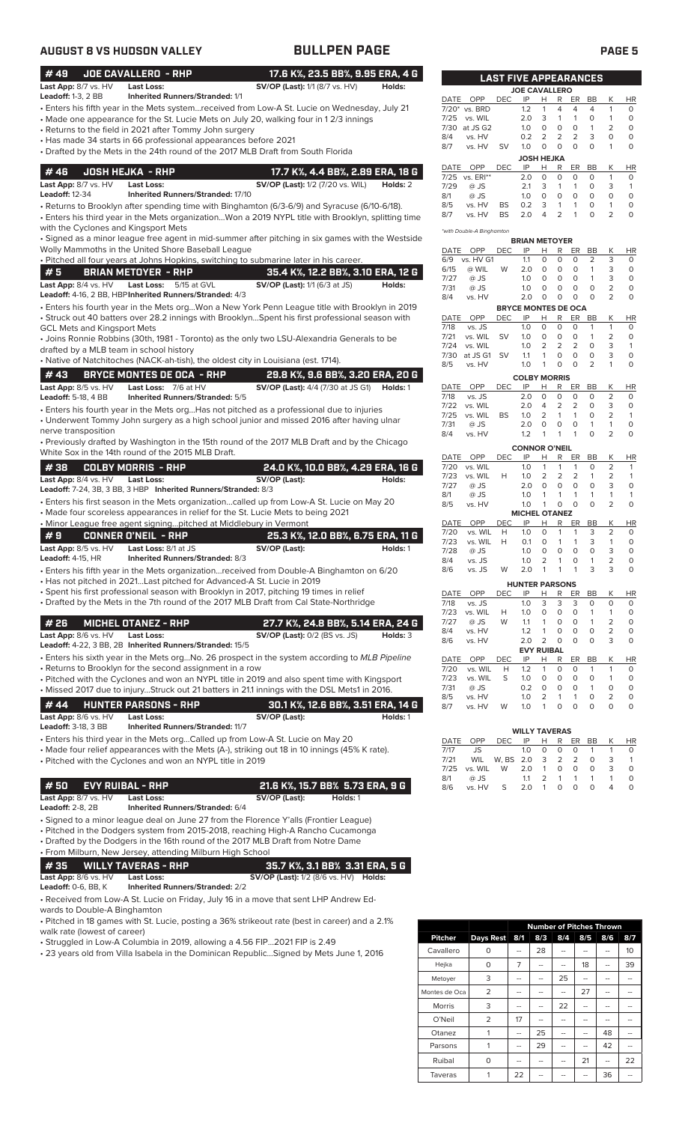| <b>AUGUST 8 VS HUDSON VALLEY</b>                                                                                                                                                                                                                                                                                                                                                                           | <b>BULLPEN PAGE</b>                                                                                                                                                                                                                                                                                                                                              | <b>PAGE 5</b>                                                                                                                                                                                                                                                                                                                                                                                                                                                                                                                                                                                                    |
|------------------------------------------------------------------------------------------------------------------------------------------------------------------------------------------------------------------------------------------------------------------------------------------------------------------------------------------------------------------------------------------------------------|------------------------------------------------------------------------------------------------------------------------------------------------------------------------------------------------------------------------------------------------------------------------------------------------------------------------------------------------------------------|------------------------------------------------------------------------------------------------------------------------------------------------------------------------------------------------------------------------------------------------------------------------------------------------------------------------------------------------------------------------------------------------------------------------------------------------------------------------------------------------------------------------------------------------------------------------------------------------------------------|
| #49<br>JOE CAVALLERO - RHP<br>Last App: 8/7 vs. HV<br><b>Last Loss:</b>                                                                                                                                                                                                                                                                                                                                    | 17.6 K%, 23.5 BB%, 9.95 ERA, 4 G<br><b>SV/OP (Last):</b> 1/1 (8/7 vs. HV)<br>Holds:                                                                                                                                                                                                                                                                              | <b>LAST FIVE APPEARANCES</b><br><b>JOE CAVALLERO</b>                                                                                                                                                                                                                                                                                                                                                                                                                                                                                                                                                             |
| <b>Leadoff: 1-3, 2 BB</b><br><b>Inherited Runners/Stranded: 1/1</b><br>• Returns to the field in 2021 after Tommy John surgery<br>• Has made 34 starts in 66 professional appearances before 2021<br>• Drafted by the Mets in the 24th round of the 2017 MLB Draft from South Florida                                                                                                                      | · Enters his fifth year in the Mets systemreceived from Low-A St. Lucie on Wednesday, July 21<br>• Made one appearance for the St. Lucie Mets on July 20, walking four in 12/3 innings                                                                                                                                                                           | DATE OPP<br><b>DEC</b><br>IP<br>н<br>R<br>ER<br>BB<br>Κ<br><b>HR</b><br>vs. BRD<br>1.2<br>$\overline{4}$<br>$\overline{4}$<br>$\overline{4}$<br>$\circ$<br>$7/20*$<br>$\mathbf{1}$<br>1<br>vs. WIL<br>2.0<br>3<br>$\mathbf{1}$<br>$\circ$<br>$\circ$<br>7/25<br>$\mathbf{1}$<br>1<br>7/30<br>1.0<br>$\circ$<br>$\circ$<br>$\circ$<br>$\mathbf{1}$<br>2<br>$\circ$<br>at JS G2<br>3<br>0.2<br>2<br>2<br>2<br>0<br>$\circ$<br>8/4<br>vs. HV<br>$\circ$<br>$\circ$<br>$\circ$<br>$\circ$<br>1.0<br>$\circ$<br>8/7<br>vs. HV<br><b>SV</b><br><b>JOSH HEJKA</b>                                                       |
| #46<br><b>JOSH HEJKA - RHP</b><br>Last App: 8/7 vs. HV<br><b>Last Loss:</b><br><b>Leadoff: 12-34</b><br><b>Inherited Runners/Stranded: 17/10</b><br>with the Cyclones and Kingsport Mets                                                                                                                                                                                                                   | 17.7 K%, 4.4 BB%, 2.89 ERA, 18 G<br><b>SV/OP (Last):</b> 1/2 (7/20 vs. WIL)<br>Holds: 2<br>• Returns to Brooklyn after spending time with Binghamton (6/3-6/9) and Syracuse (6/10-6/18).<br>• Enters his third year in the Mets organizationWon a 2019 NYPL title with Brooklyn, splitting time                                                                  | DATE OPP<br>IP<br>H<br><b>DEC</b><br>R<br>ER<br>BB<br>K<br><b>HR</b><br>$\circ$<br>$\circ$<br>$\circ$<br>7/25 vs. ERI**<br>2.0<br>0<br>$\circ$<br>$\mathbf{1}$<br>3<br>3<br>7/29<br>$@$ JS<br>2.1<br>$\mathbf{1}$<br>1<br>0<br>$\mathbf{1}$<br>8/1<br>1.0<br>$\circ$<br>$\circ$<br>0<br>$\circ$<br>$\Omega$<br>$\circ$<br>$@$ JS<br>8/5<br><b>BS</b><br>0.2<br>3<br>$\mathbf{1}$<br>$\mathbf{1}$<br>$\circ$<br>$\circ$<br>vs. HV<br>1<br>$\overline{2}$<br><b>BS</b><br>2.0<br>$\overline{4}$<br>2<br>$\circ$<br>$\circ$<br>8/7<br>vs. HV<br>$\mathbf{1}$<br>*with Double-A Binghamton                           |
| Wolly Mammoths in the United Shore Baseball League<br>. Pitched all four years at Johns Hopkins, switching to submarine later in his career.<br>#5<br><b>BRIAN METOYER - RHP</b><br>Last Loss: 5/15 at GVL<br>Last App: 8/4 vs. HV<br>Leadoff: 4-16, 2 BB, HBP Inherited Runners/Stranded: 4/3                                                                                                             | • Signed as a minor league free agent in mid-summer after pitching in six games with the Westside<br>35.4 K%, 12.2 BB%, 3.10 ERA, 12 G<br><b>SV/OP (Last):</b> 1/1 (6/3 at JS)<br>Holds:                                                                                                                                                                         | <b>BRIAN METOYER</b><br>DATE OPP<br><b>DEC</b><br>IP<br>Н<br>R<br>ER<br>BB<br>К<br><b>HR</b><br>3<br>$\circ$<br>0<br>$\circ$<br>2<br>$\circ$<br>6/9<br>vs. HV G1<br>1.1<br>2.0<br>$\circ$<br>0<br>0<br>$\mathbf{1}$<br>3<br>$\circ$<br>6/15<br>@ WIL<br>W<br>7/27<br>$\circ$<br>0<br>$\circ$<br>$\overline{1}$<br>3<br>$\circ$<br>$@$ JS<br>1.0<br>7/31<br>1.0<br>$\circ$<br>$\circ$<br>$\circ$<br>$\circ$<br>2<br>$\circ$<br>$@$ JS<br>2.0<br>$\circ$<br>$\circ$<br>0<br>$\circ$<br>2<br>$\circ$<br>8/4<br>vs. HV                                                                                               |
| <b>GCL Mets and Kingsport Mets</b><br>drafted by a MLB team in school history<br>• Native of Natchitoches (NACK-ah-tish), the oldest city in Louisiana (est. 1714).<br>#43<br><b>BRYCE MONTES DE OCA - RHP</b>                                                                                                                                                                                             | · Enters his fourth year in the Mets orgWon a New York Penn League title with Brooklyn in 2019<br>• Struck out 40 batters over 28.2 innings with BrooklynSpent his first professional season with<br>• Joins Ronnie Robbins (30th, 1981 - Toronto) as the only two LSU-Alexandria Generals to be<br>29.8 K%, 9.6 BB%, 3.20 ERA, 20 G                             | <b>BRYCE MONTES DE OCA</b><br>OPP<br>IP<br><b>DEC</b><br>H<br>R<br>ER<br>BB<br>К<br><b>HR</b><br>DATE<br>1.0<br>$\circ$<br>$\circ$<br>0<br>$\circ$<br>7/18<br>vs. JS<br>$\mathbf{1}$<br>1<br>$\circ$<br>0<br>$\mathbf{1}$<br>2<br>$\circ$<br>7/21<br>vs. WIL<br><b>SV</b><br>1.0<br>0<br>1.0<br>2<br>2<br>2<br>$\circ$<br>3<br>7/24<br>vs. WIL<br>$\mathbf{1}$<br>$\mathbf{1}$<br>0<br>$\circ$<br>$\circ$<br>3<br>$\circ$<br>7/30<br>at JS G1 SV<br>1.1<br>2<br>1.0<br>$\mathbf{1}$<br>0<br>$\circ$<br>$\circ$<br>8/5<br>vs. HV                                                                                  |
| Last App: 8/5 vs. HV<br>Last Loss: 7/6 at HV<br><b>Leadoff: 5-18, 4 BB</b><br>Inherited Runners/Stranded: 5/5<br>nerve transposition                                                                                                                                                                                                                                                                       | <b>SV/OP (Last):</b> 4/4 (7/30 at JS G1) <b>Holds:</b> 1<br>• Enters his fourth year in the Mets org Has not pitched as a professional due to injuries<br>• Underwent Tommy John surgery as a high school junior and missed 2016 after having ulnar<br>• Previously drafted by Washington in the 15th round of the 2017 MLB Draft and by the Chicago             | <b>COLBY MORRIS</b><br><b>DEC</b><br>IP<br>К<br>DATE<br>OPP<br>Н<br>R<br>ER<br>BB<br><b>HR</b><br>7/18<br>2.0<br>$\circ$<br>$\circ$<br>$\overline{2}$<br>vs. JS<br>$\circ$<br>$\circ$<br>0<br>$\overline{2}$<br>$\overline{2}$<br>$\circ$<br>3<br>7/22<br>vs. WIL<br>2.0<br>4<br>0<br>$\overline{2}$<br>2<br>$\circ$<br>7/25<br>vs. WIL<br>BS<br>1.0<br>$\mathbf{1}$<br>$\mathbf{1}$<br>$\overline{1}$<br>2.0<br>$\circ$<br>$\circ$<br>$\circ$<br>$\mathbf{1}$<br>$\circ$<br>7/31<br>$@$ JS<br>$\mathbf{1}$<br>1.2<br>$\mathbf{1}$<br>$\circ$<br>$\overline{2}$<br>$\circ$<br>8/4<br>vs. HV<br>1<br>$\mathbf{1}$ |
| White Sox in the 14th round of the 2015 MLB Draft.<br>#38<br><b>COLBY MORRIS - RHP</b><br>Last App: 8/4 vs. HV<br><b>Last Loss:</b><br>Leadoff: 7-24, 3B, 3 BB, 3 HBP Inherited Runners/Stranded: 8/3                                                                                                                                                                                                      | 24.0 K%, 10.0 BB%, 4.29 ERA, 16 G<br>SV/OP (Last):<br>Holds:<br>• Enters his first season in the Mets organizationcalled up from Low-A St. Lucie on May 20                                                                                                                                                                                                       | <b>CONNOR O'NEIL</b><br><b>DEC</b><br>IP<br><b>HR</b><br>DATE<br>OPP<br>Н<br>R<br>ER<br>BB<br>К<br>2<br>1.0<br>$\mathbf{1}$<br>$\circ$<br>7/20<br>vs. WIL<br>$\mathbf{1}$<br>$\mathbf{1}$<br>$\overline{1}$<br>7/23<br>2<br>2<br>2<br>2<br>vs. WIL<br>H<br>1.0<br>$\mathbf{1}$<br>$\overline{1}$<br>$\circ$<br>$\circ$<br>$\circ$<br>$\circ$<br>$\circ$<br>@ JS<br>2.0<br>3<br>7/27<br>$\mathbf{1}$<br>$\mathbf{1}$<br>$\mathbf{1}$<br>$\mathbf{1}$<br>$\mathbf{1}$<br>8/1<br>$@$ JS<br>1.0<br>1<br>0<br>$\circ$<br>$\circ$<br>2<br>$\circ$<br>8/5<br>vs. HV<br>1.0<br>$\mathbf{1}$                              |
| • Made four scoreless appearances in relief for the St. Lucie Mets to being 2021<br>• Minor League free agent signingpitched at Middlebury in Vermont<br>#9<br><b>CONNER O'NEIL - RHP</b><br>Last App: 8/5 vs. HV<br>Last Loss: 8/1 at JS<br><b>Leadoff: 4-15, HR</b><br>Inherited Runners/Stranded: 8/3                                                                                                   | 25.3 K%, 12.0 BB%, 6.75 ERA, 11 G<br>SV/OP (Last):<br>Holds: 1<br>• Enters his fifth year in the Mets organizationreceived from Double-A Binghamton on 6/20                                                                                                                                                                                                      | <b>MICHEL OTANEZ</b><br>IP<br>DATE<br>OPP<br><b>DEC</b><br>Н<br>R<br>ER<br>BB<br>К<br>HR<br>7/20<br>vs. WIL<br>H<br>1.0<br>$\circ$<br>$\overline{1}$<br>$\overline{1}$<br>3<br>2<br>$\circ$<br>7/23<br>vs. WIL<br>H<br>0.1<br>$\circ$<br>$\overline{1}$<br>$\overline{1}$<br>3<br>$\circ$<br>$\mathbf{1}$<br>$\mathsf O$<br>$\mathbf 0$<br>0<br>$\circ$<br>3<br>$\circ$<br>7/28<br>@ JS<br>1.0<br>2<br>$\mathbf{1}$<br>8/4<br>vs. JS<br>1.0<br>1<br>0<br>2<br>0<br>2.0<br>3<br>8/6<br>W<br>$\overline{1}$<br>$\mathbf{1}$<br>$\mathbf{1}$<br>3<br>0<br>vs. JS                                                    |
| • Has not pitched in 2021Last pitched for Advanced-A St. Lucie in 2019<br>• Spent his first professional season with Brooklyn in 2017, pitching 19 times in relief<br>#26<br><b>MICHEL OTANEZ - RHP</b><br>Last App: 8/6 vs. HV<br><b>Last Loss:</b>                                                                                                                                                       | • Drafted by the Mets in the 7th round of the 2017 MLB Draft from Cal State-Northridge<br>27.7 K%, 24.8 BB%, 5.14 ERA, 24 G<br><b>SV/OP (Last): 0/2 (BS vs. JS)</b><br>Holds: 3                                                                                                                                                                                  | <b>HUNTER PARSONS</b><br>К<br>OPP<br><b>DEC</b><br>IP<br>$\mathsf{R}$<br>DATE<br>Н<br>ER<br>BB<br><u>HR</u><br>7/18<br>vs. JS<br>1.0<br>3<br>3<br>3<br>0<br>0<br>0<br>vs. WIL<br>0<br>0<br>$\circ$<br>7/23<br>1.0<br>$\mathbf{1}$<br>0<br>Н<br>1<br>$\mathbf{1}$<br>2<br>$\circ$<br>7/27<br>@ JS<br>W<br>1.1<br>$\mathbf{1}$<br>0<br>0<br>8/4<br>1.2<br>1<br>0<br>0<br>0<br>2<br>0<br>vs. HV                                                                                                                                                                                                                     |
| Leadoff: 4-22, 3 BB, 2B Inherited Runners/Stranded: 15/5<br>• Returns to Brooklyn for the second assignment in a row<br># 44<br><b>HUNTER PARSONS - RHP</b><br>Last App: 8/6 vs. HV<br><b>Last Loss:</b>                                                                                                                                                                                                   | • Enters his sixth year in the Mets orgNo. 26 prospect in the system according to MLB Pipeline<br>• Pitched with the Cyclones and won an NYPL title in 2019 and also spent time with Kingsport<br>· Missed 2017 due to injuryStruck out 21 batters in 21.1 innings with the DSL Mets1 in 2016.<br>30.1 K%, 12.6 BB%, 3.51 ERA, 14 G<br>SV/OP (Last):<br>Holds: 1 | 2.0<br>$\overline{2}$<br>0<br>$\circ$<br>3<br>$\mathbf 0$<br>8/6<br>0<br>vs. HV<br><b>EVY RUIBAL</b><br>DATE<br>OPP<br>DEC<br>IP<br>н<br>R<br>ER BB<br>Κ<br><b>HR</b><br>$\circ$<br>7/20<br>vs. WIL<br>Н<br>1.2<br>0<br>0<br>$\mathbf{1}$<br>1<br>1<br>7/23<br>vs. WIL<br>S<br>1.0<br>0<br>0<br>0<br>0<br>0<br>1<br>0.2<br>$\circ$<br>$\mathbf{1}$<br>7/31<br>@ JS<br>0<br>0<br>0<br>0<br>8/5<br>1.0<br>2<br>1<br>0<br>2<br>0<br>vs. HV<br>1<br>8/7<br>W<br>1.0<br>$\circ$<br>$\circ$<br>$\circ$<br>vs. HV<br>$\mathbf{1}$<br>0<br>0                                                                             |
| <b>Leadoff: 3-18, 3 BB</b><br><b>Inherited Runners/Stranded: 11/7</b><br>• Enters his third year in the Mets orgCalled up from Low-A St. Lucie on May 20<br>• Pitched with the Cyclones and won an NYPL title in 2019                                                                                                                                                                                      | • Made four relief appearances with the Mets (A-), striking out 18 in 10 innings (45% K rate).                                                                                                                                                                                                                                                                   | <b>WILLY TAVERAS</b><br>DATE<br>OPP<br><b>DEC</b><br>IP<br>R<br><b>BB</b><br>Κ<br>Н<br>ER.<br>HR<br><b>JS</b><br>0<br>7/17<br>1.0<br>0<br>0<br>1<br>1<br>0<br>W, BS 2.0<br>3<br>2<br>2<br>7/21<br>WIL<br>0<br>3<br>1<br>$\mathbf{1}$<br>0<br>0<br>$\circ$<br>3<br>$\circ$<br>7/25<br>vs. WIL<br>W<br>2.0<br>8/1<br>@ JS<br>2<br>$\mathbf{1}$<br>$\mathbf{1}$<br>$\mathbf{1}$<br>0<br>1.1<br>1                                                                                                                                                                                                                    |
| #50<br><b>EVY RUIBAL - RHP</b><br>Last App: 8/7 vs. HV<br>Last Loss:<br><b>Leadoff: 2-8, 2B</b><br>Inherited Runners/Stranded: 6/4<br>• Signed to a minor league deal on June 27 from the Florence Y'alls (Frontier League)<br>• Drafted by the Dodgers in the 16th round of the 2017 MLB Draft from Notre Dame<br>• From Milburn, New Jersey, attending Milburn High School<br>#35<br>WILLY TAVERAS - RHP | 21.6 K%, 15.7 BB% 5.73 ERA, 9 G<br>SV/OP (Last):<br>Holds: 1<br>• Pitched in the Dodgers system from 2015-2018, reaching High-A Rancho Cucamonga<br>35.7 K%, 3.1 BB% 3.31 ERA, 5 G                                                                                                                                                                               | $\mathsf{O}\xspace$<br>$\mathsf O$<br>$\circ$<br>S<br>2.0<br>$\mathbf{1}$<br>$\overline{4}$<br>$\circ$<br>8/6<br>vs. HV                                                                                                                                                                                                                                                                                                                                                                                                                                                                                          |
| Last App: 8/6 vs. HV<br><b>Last Loss:</b><br><b>Leadoff: 0-6, BB, K</b><br><b>Inherited Runners/Stranded: 2/2</b>                                                                                                                                                                                                                                                                                          | <b>SV/OP (Last):</b> 1/2 (8/6 vs. HV) <b>Holds:</b>                                                                                                                                                                                                                                                                                                              |                                                                                                                                                                                                                                                                                                                                                                                                                                                                                                                                                                                                                  |

• Received from Low-A St. Lucie on Friday, July 16 in a move that sent LHP Andrew Edwards to Double-A Binghamton

• Pitched in 18 games with St. Lucie, posting a 36% strikeout rate (best in career) and a 2.1% walk rate (lowest of career)

• Struggled in Low-A Columbia in 2019, allowing a 4.56 FIP...2021 FIP is 2.49

• 23 years old from Villa Isabela in the Dominican Republic...Signed by Mets June 1, 2016

|                |                |     | <b>Number of Pitches Thrown</b> |     |     |     |     |
|----------------|----------------|-----|---------------------------------|-----|-----|-----|-----|
| <b>Pitcher</b> | Days Rest      | 8/1 | 8/3                             | 8/4 | 8/5 | 8/6 | 8/7 |
| Cavallero      | O              |     | 28                              |     |     |     | 10  |
| Hejka          | 0              | 7   | --                              |     | 18  |     | 39  |
| Metoyer        | 3              | --  | --                              | 25  | --  | --  |     |
| Montes de Oca  | $\overline{2}$ |     | --                              | --  | 27  |     |     |
| Morris         | 3              | --  | --                              | 22  |     |     |     |
| O'Neil         | $\overline{2}$ | 17  | --                              | --  | --  | --  |     |
| Otanez         | 1              | --  | 25                              | --  | --  | 48  |     |
| Parsons        | 1              | --  | 29                              | --  | --  | 42  | --  |
| Ruibal         | 0              | --  | --                              | --  | 21  | --  | 22  |
| Taveras        |                | 22  |                                 |     |     | 36  |     |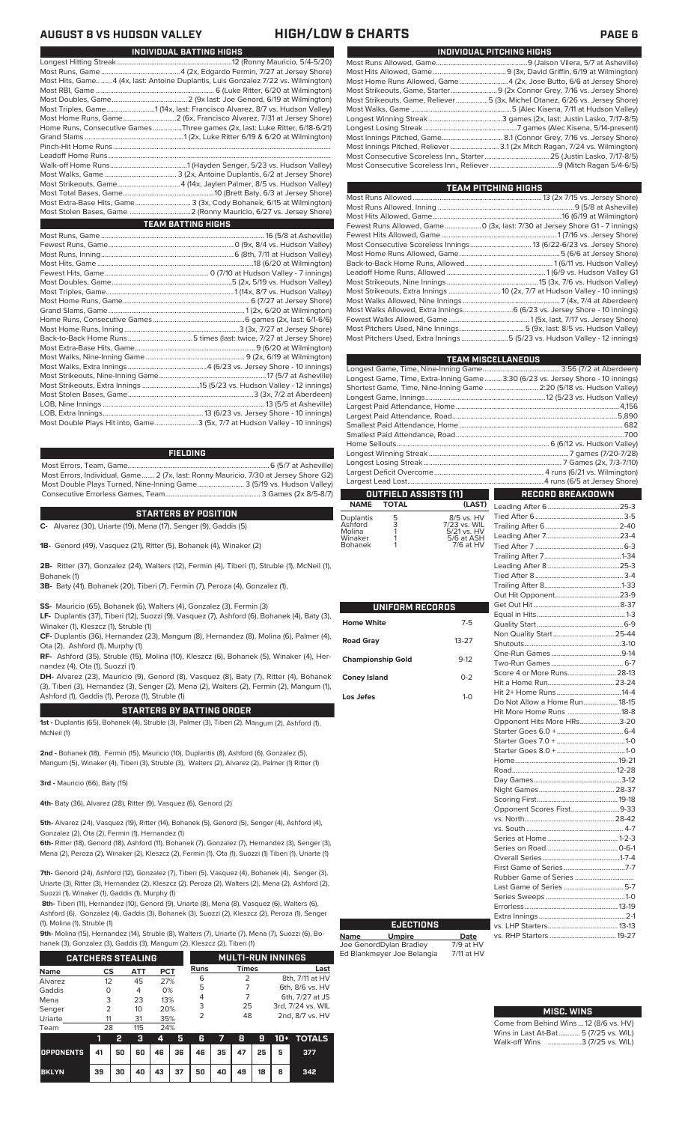### **AUGUST 8 VS HUDSON VALLEY HIGH/LOW & CHARTS PAGE 6**

|                     | INDIVIDUAL BATTING HIGHS                                                           |
|---------------------|------------------------------------------------------------------------------------|
|                     |                                                                                    |
|                     |                                                                                    |
|                     | Most Hits, Game 4 (4x, last: Antoine Duplantis, Luis Gonzalez 7/22 vs. Wilmington) |
|                     |                                                                                    |
|                     |                                                                                    |
|                     | Most Triples, Game1 (14x, last: Francisco Alvarez, 8/7 vs. Hudson Valley)          |
|                     | Most Home Runs, Game2 (6x, Francisco Alvarez, 7/31 at Jersey Shore)                |
|                     | Home Runs, Consecutive Games Three games (2x, last: Luke Ritter, 6/18-6/21)        |
|                     |                                                                                    |
|                     |                                                                                    |
|                     |                                                                                    |
|                     |                                                                                    |
|                     |                                                                                    |
|                     |                                                                                    |
|                     |                                                                                    |
|                     | Most Extra-Base Hits, Game 3 (3x, Cody Bohanek, 6/15 at Wilmington)                |
|                     |                                                                                    |
|                     | <b>TEAM BATTING HIGHS</b>                                                          |
|                     |                                                                                    |
|                     |                                                                                    |
| $M$ oot Duna Janing | $C(0+h)$ 7/11 of Hudson $1/nH_0$                                                   |

| Most Double Plays Hit into, Game3 (5x, 7/7 at Hudson Valley - 10 innings) |  |
|---------------------------------------------------------------------------|--|

### **FIELDING**

Most Errors, Team, Game...............................................................................6 (5/7 at Asheville) Most Errors, Individual, Game....... 2 (7x, last: Ronny Mauricio, 7/30 at Jersey Shore G2) Most Double Plays Turned, Nine-Inning Game.......................... 3 (5/19 vs. Hudson Valley) Consecutive Errorless Games, Team...

### **STARTERS BY POSITION**

**C-** Alvarez (30), Uriarte (19), Mena (17), Senger (9), Gaddis (5)

**1B-** Genord (49), Vasquez (21), Ritter (5), Bohanek (4), Winaker (2)

**2B-** Ritter (37), Gonzalez (24), Walters (12), Fermin (4), Tiberi (1), Struble (1), McNeil (1), Bohanek (1)

**3B-** Baty (41), Bohanek (20), Tiberi (7), Fermin (7), Peroza (4), Gonzalez (1),

**SS-** Mauricio (65), Bohanek (6), Walters (4), Gonzalez (3), Fermin (3)

**LF-** Duplantis (37), Tiberi (12), Suozzi (9), Vasquez (7), Ashford (6), Bohanek (4), Baty (3), Winaker (1), Kleszcz (1), Struble (1)

**CF-** Duplantis (36), Hernandez (23), Mangum (8), Hernandez (8), Molina (6), Palmer (4), Ota (2), Ashford (1), Murphy (1)

**RF-** Ashford (35), Struble (15), Molina (10), Kleszcz (6), Bohanek (5), Winaker (4), Hernandez (4), Ota (1), Suozzi (1)

**DH-** Alvarez (23), Mauricio (9), Genord (8), Vasquez (8), Baty (7), Ritter (4), Bohanek (3), Tiberi (3), Hernandez (3), Senger (2), Mena (2), Walters (2), Fermin (2), Mangum (1), Ashford (1), Gaddis (1), Peroza (1), Struble (1)

### **STARTERS BY BATTING ORDER**

**1st -** Duplantis (65), Bohanek (4), Struble (3), Palmer (3), Tiberi (2), Mangum (2), Ashford (1), McNeil (1)

**2nd -** Bohanek (18), Fermin (15), Mauricio (10), Duplantis (8), Ashford (6), Gonzalez (5), Mangum (5), Winaker (4), Tiberi (3), Struble (3), Walters (2), Alvarez (2), Palmer (1) Ritter (1)

**3rd -** Mauricio (66), Baty (15)

**4th-** Baty (36), Alvarez (28), Ritter (9), Vasquez (6), Genord (2)

**5th-** Alvarez (24), Vasquez (19), Ritter (14), Bohanek (5), Genord (5), Senger (4), Ashford (4), Gonzalez (2), Ota (2), Fermin (1), Hernandez (1)

**6th-** Ritter (18), Genord (18), Ashford (11), Bohanek (7), Gonzalez (7), Hernandez (3), Senger (3), Mena (2), Peroza (2), Winaker (2), Kleszcz (2), Fermin (1), Ota (1), Suozzi (1) Tiberi (1), Uriarte (1)

**7th-** Genord (24), Ashford (12), Gonzalez (7), Tiberi (5), Vasquez (4), Bohanek (4), Senger (3), Uriarte (3), Ritter (3), Hernandez (2), Kleszcz (2), Peroza (2), Walters (2), Mena (2), Ashford (2), Suozzi (1), Winaker (1), Gaddis (1), Murphy (1)

**8th-** Tiberi (11), Hernandez (10), Genord (9), Uriarte (8), Mena (8), Vasquez (6), Walters (6), Ashford (6), Gonzalez (4), Gaddis (3), Bohanek (3), Suozzi (2), Kleszcz (2), Peroza (1), Senger (1), Molina (1), Struble (1)

**9th-** Molina (15), Hernandez (14), Struble (8), Walters (7), Uriarte (7), Mena (7), Suozzi (6), Bohanek (3), Gonzalez (3), Gaddis (3), Mangum (2), Kleszcz (2), Tiberi (1)

|             | <b>CATCHERS STEALING</b> |                 |     |             |              | <b>MULTI-RUN INNINGS</b> |
|-------------|--------------------------|-----------------|-----|-------------|--------------|--------------------------|
| <b>Name</b> | CS                       | ATT             | PCT | <b>Runs</b> | <b>Times</b> | Last                     |
| Alvarez     | 12                       | 45              | 27% | 6           |              | 8th, 7/11 at HV          |
| Gaddis      | Ο                        | 4               | 0%  | 5           |              | 6th, 8/6 vs. HV          |
| Mena        | 3                        | 23              | 13% | 4           |              | 6th, 7/27 at JS          |
| Senger      | 2                        | 10 <sup>2</sup> | 20% | 3           | 25           | 3rd. 7/24 vs. WIL        |
| Uriarte     | 11                       | 31              | 35% | 2           | 48           | 2nd, 8/7 vs. HV          |
|             |                          |                 |     |             |              |                          |
| Team        | 28                       | 115             | 24% |             |              |                          |

|                                        | -- |  |                              |  |  | 3 4 5 6 7 8 9 10 + TOTALS |
|----------------------------------------|----|--|------------------------------|--|--|---------------------------|
| OPPONENTS 41 50 60 46 36 46 35 47 25 5 |    |  |                              |  |  | 377                       |
| <b>BKLYN</b>                           |    |  | 39 30 40 43 37 50 40 49 18 6 |  |  | 342                       |

|  | INDIVIDUAL PITCHING HIGHS                                                   |
|--|-----------------------------------------------------------------------------|
|  |                                                                             |
|  |                                                                             |
|  | Most Home Runs Allowed, Game4 (2x, Jose Butto, 6/6 at Jersey Shore)         |
|  |                                                                             |
|  | Most Strikeouts, Game, Reliever5 (3x, Michel Otanez, 6/26 vs. Jersey Shore) |
|  |                                                                             |
|  |                                                                             |
|  |                                                                             |
|  |                                                                             |
|  |                                                                             |
|  |                                                                             |
|  |                                                                             |

| TEAM PITCHING HIGHS                                                          |
|------------------------------------------------------------------------------|
|                                                                              |
|                                                                              |
|                                                                              |
| Fewest Runs Allowed, Game  0 (3x, last: 7/30 at Jersey Shore G1 - 7 innings) |
|                                                                              |
|                                                                              |
|                                                                              |
|                                                                              |
|                                                                              |
|                                                                              |
|                                                                              |
|                                                                              |
| Most Walks Allowed, Extra Innings 6 (6/23 vs. Jersey Shore - 10 innings)     |
|                                                                              |
|                                                                              |
| Most Pitchers Used, Extra Innings5 (5/23 vs. Hudson Valley - 12 innings)     |
|                                                                              |

| <b>TEAM MISCELLANEOUS</b>                                                      |                  |
|--------------------------------------------------------------------------------|------------------|
|                                                                                |                  |
| Longest Game, Time, Extra-Inning Game3:30 (6/23 vs. Jersey Shore - 10 innings) |                  |
| Shortest Game, Time, Nine-Inning Game  2:20 (5/18 vs. Hudson Valley)           |                  |
|                                                                                |                  |
|                                                                                |                  |
|                                                                                |                  |
|                                                                                |                  |
|                                                                                |                  |
|                                                                                |                  |
|                                                                                |                  |
|                                                                                |                  |
|                                                                                |                  |
|                                                                                |                  |
| <b>OUTFIELD ASSISTS (11)</b><br>╻╷<br><b>Contract Contract</b>                 | RECORD BREAKDOWN |

### **OUTFIELD ASSISTS (11) TOTAL**

| <b>Duplantis</b><br>Ashford<br>Molina<br>Winaker<br><b>Bohanek</b> | 5<br>3 | 8/5 vs. HV<br>7/23 vs. WIL<br>5/21 vs. HV<br>5/6 at ASH<br>7/6 at HV |
|--------------------------------------------------------------------|--------|----------------------------------------------------------------------|
|--------------------------------------------------------------------|--------|----------------------------------------------------------------------|

| UNIFORM RECORDS          |           |
|--------------------------|-----------|
| <b>Home White</b>        | $7-5$     |
| <b>Road Gray</b>         | $13 - 27$ |
| <b>Championship Gold</b> | $9-12$    |
| <b>Coney Island</b>      | $0 - 2$   |
| Los Jefes                | $1-0$     |
|                          |           |
|                          |           |
|                          |           |
|                          |           |
|                          |           |
|                          |           |
|                          |           |
|                          |           |
|                          |           |
|                          |           |
|                          |           |

**Name Umpire Date** Joe GenordDylan Bradley 7/9 at HV Ed Blankmeyer Joe Belangia 7/11 at HV

**EJECTIONS**

| Non Quality Start 25-44      |  |
|------------------------------|--|
|                              |  |
|                              |  |
|                              |  |
| Score 4 or More Runs 28-13   |  |
|                              |  |
|                              |  |
| Do Not Allow a Home Run18-15 |  |
| Hit More Home Runs 18-8      |  |
|                              |  |
| Opponent Hits More HRs3-20   |  |
|                              |  |
|                              |  |
|                              |  |
|                              |  |
|                              |  |
|                              |  |
|                              |  |
|                              |  |
| Opponent Scores First9-33    |  |
|                              |  |
|                              |  |
|                              |  |
|                              |  |
|                              |  |
|                              |  |
|                              |  |
| Last Game of Series  5-7     |  |
|                              |  |
|                              |  |
|                              |  |
|                              |  |
|                              |  |

# **MISC. WINS**

Come from Behind Wins ... 12 (8/6 vs. HV)<br>Wins in Last At-Bat............ 5 (7/25 vs. WIL) Wins in Last At-Bat........... Walk-off Wins ...................3 (7/25 vs. WIL)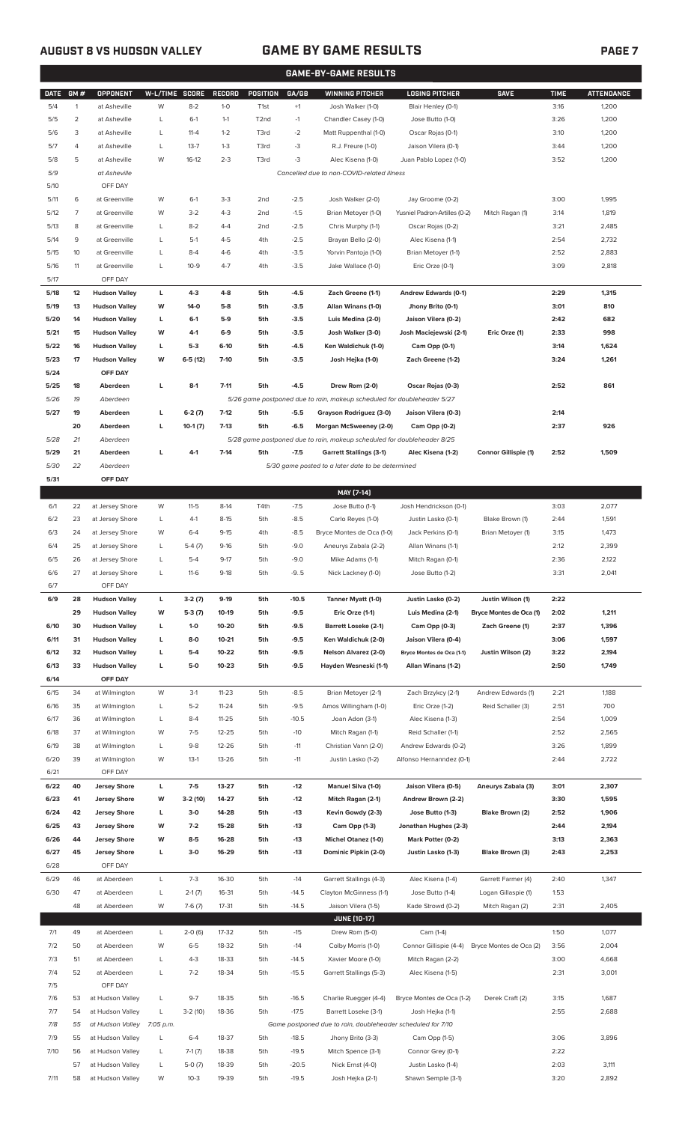$5/17$ 

 $5/24$ 

 $6/7$ 

 $6/14$ 

 $6/21$ 

 $6/28$ 

### **AUGUST 8 VS HUDSON VALLEY GAME BY GAME RESULTS PAGE 7**

|             |              |                      |                |           |           |                   |         | <b>GAME-BY-GAME RESULTS</b>                                             |                               |                             |             |                   |
|-------------|--------------|----------------------|----------------|-----------|-----------|-------------------|---------|-------------------------------------------------------------------------|-------------------------------|-----------------------------|-------------|-------------------|
| <b>DATE</b> | GM#          | <b>OPPONENT</b>      | W-L/TIME SCORE |           | RECORD    | <b>POSITION</b>   | GA/GB   | <b>WINNING PITCHER</b>                                                  | <b>LOSING PITCHER</b>         | <b>SAVE</b>                 | <b>TIME</b> | <b>ATTENDANCE</b> |
| 5/4         | $\mathbf{1}$ | at Asheville         | W              | $8 - 2$   | $1 - 0$   | T <sub>1st</sub>  | $+1$    | Josh Walker (1-0)                                                       | Blair Henley (0-1)            |                             | 3:16        | 1,200             |
| 5/5         | 2            | at Asheville         | L              | $6-1$     | $1 - 1$   | T <sub>2</sub> nd | $-1$    | Chandler Casey (1-0)                                                    | Jose Butto (1-0)              |                             | 3:26        | 1,200             |
| 5/6         | 3            | at Asheville         | L              | $11 - 4$  | $1 - 2$   | T3rd              | $-2$    | Matt Ruppenthal (1-0)                                                   | Oscar Rojas (0-1)             |                             | 3:10        | 1,200             |
| 5/7         | 4            | at Asheville         | L              | $13 - 7$  | $1 - 3$   | T3rd              | $-3$    | R.J. Freure (1-0)                                                       | Jaison Vilera (0-1)           |                             | 3:44        | 1,200             |
| 5/8         | 5            | at Asheville         | W              | $16-12$   | $2 - 3$   | T3rd              | $-3$    | Alec Kisena (1-0)                                                       | Juan Pablo Lopez (1-0)        |                             | 3:52        | 1,200             |
| 5/9         |              | at Asheville         |                |           |           |                   |         | Cancelled due to non-COVID-related illness                              |                               |                             |             |                   |
| 5/10        |              | OFF DAY              |                |           |           |                   |         |                                                                         |                               |                             |             |                   |
| 5/11        | 6            | at Greenville        | W              | $6-1$     | $3-3$     | 2nd               | $-2.5$  | Josh Walker (2-0)                                                       | Jay Groome (0-2)              |                             | 3:00        | 1,995             |
| 5/12        | 7            | at Greenville        | W              | $3-2$     | $4 - 3$   | 2nd               | $-1.5$  | Brian Metoyer (1-0)                                                     | Yusniel Padron-Artilles (0-2) | Mitch Ragan (1)             | 3:14        | 1,819             |
| 5/13        | 8            | at Greenville        | L              | $8 - 2$   | 4-4       | 2nd               | $-2.5$  | Chris Murphy (1-1)                                                      | Oscar Rojas (0-2)             |                             | 3:21        | 2,485             |
| 5/14        | 9            | at Greenville        | L              | $5-1$     | $4 - 5$   | 4th               | $-2.5$  | Brayan Bello (2-0)                                                      | Alec Kisena (1-1)             |                             | 2:54        | 2,732             |
| 5/15        | 10           | at Greenville        | L              | $8 - 4$   | $4-6$     | 4th               | $-3.5$  | Yorvin Pantoja (1-0)                                                    | Brian Metoyer (1-1)           |                             | 2:52        | 2,883             |
| 5/16        | 11           | at Greenville        | L              | $10-9$    | $4 - 7$   | 4th               | $-3.5$  | Jake Wallace (1-0)                                                      | Eric Orze (0-1)               |                             | 3:09        | 2,818             |
| 5/17        |              | OFF DAY              |                |           |           |                   |         |                                                                         |                               |                             |             |                   |
| 5/18        | 12           | <b>Hudson Valley</b> | L              | $4 - 3$   | 4-8       | 5th               | $-4.5$  | Zach Greene (1-1)                                                       | Andrew Edwards (0-1)          |                             | 2:29        | 1,315             |
| 5/19        | 13           | <b>Hudson Valley</b> | W              | 14-0      | $5-8$     | 5th               | $-3.5$  | Allan Winans (1-0)                                                      | Jhony Brito (0-1)             |                             | 3:01        | 810               |
| 5/20        | 14           | <b>Hudson Valley</b> | L              | $6-1$     | $5-9$     | 5th               | $-3.5$  | Luis Medina (2-0)                                                       | Jaison Vilera (0-2)           |                             | 2:42        | 682               |
| 5/21        | 15           | <b>Hudson Valley</b> | W              | 4-1       | $6-9$     | 5th               | $-3.5$  | Josh Walker (3-0)                                                       | Josh Maciejewski (2-1)        | Eric Orze (1)               | 2:33        | 998               |
| 5/22        | 16           | <b>Hudson Valley</b> | L              | $5-3$     | $6-10$    | 5th               | -4.5    | Ken Waldichuk (1-0)                                                     | Cam Opp (0-1)                 |                             | 3:14        | 1,624             |
|             |              |                      |                |           |           |                   |         |                                                                         | Zach Greene (1-2)             |                             |             |                   |
| 5/23        | 17           | <b>Hudson Valley</b> | W              | $6-5(12)$ | $7-10$    | 5th               | $-3.5$  | Josh Hejka (1-0)                                                        |                               |                             | 3:24        | 1,261             |
| 5/24        |              | OFF DAY              |                |           |           |                   |         |                                                                         |                               |                             |             |                   |
| 5/25        | 18           | Aberdeen             | L              | $8-1$     | $7 - 11$  | 5th               | $-4.5$  | Drew Rom (2-0)                                                          | Oscar Rojas (0-3)             |                             | 2:52        | 861               |
| 5/26        | 19           | Aberdeen             |                |           |           |                   |         | 5/26 game postponed due to rain, makeup scheduled for doubleheader 5/27 |                               |                             |             |                   |
| 5/27        | 19           | Aberdeen             | L              | $6-2(7)$  | $7-12$    | 5th               | $-5.5$  | Grayson Rodriguez (3-0)                                                 | Jaison Vilera (0-3)           |                             | 2:14        |                   |
|             | 20           | Aberdeen             | L              | $10-1(7)$ | $7-13$    | 5th               | $-6.5$  | Morgan McSweeney (2-0)                                                  | Cam Opp (0-2)                 |                             | 2:37        | 926               |
| 5/28        | 21           | Aberdeen             |                |           |           |                   |         | 5/28 game postponed due to rain, makeup scheduled for doubleheader 8/25 |                               |                             |             |                   |
| 5/29        | 21           | Aberdeen             | L              | $4-1$     | $7-14$    | 5th               | $-7.5$  | <b>Garrett Stallings (3-1)</b>                                          | Alec Kisena (1-2)             | <b>Connor Gillispie (1)</b> | 2:52        | 1,509             |
| 5/30        | 22           | Aberdeen             |                |           |           |                   |         | 5/30 game posted to a later date to be determined                       |                               |                             |             |                   |
| 5/31        |              | OFF DAY              |                |           |           |                   |         |                                                                         |                               |                             |             |                   |
|             |              |                      |                |           |           |                   |         | MAY [7-14]                                                              |                               |                             |             |                   |
| 6/1         | 22           | at Jersey Shore      | W              | $11 - 5$  | $8-14$    | T4th              | $-7.5$  | Jose Butto (1-1)                                                        | Josh Hendrickson (0-1)        |                             | 3:03        | 2,077             |
| 6/2         | 23           | at Jersey Shore      | L              | $4-1$     | $8 - 15$  | 5th               | $-8.5$  | Carlo Reyes (1-0)                                                       | Justin Lasko (0-1)            | Blake Brown (1)             | 2:44        | 1,591             |
| 6/3         | 24           | at Jersey Shore      | W              | $6 - 4$   | $9-15$    | 4th               | $-8.5$  | Bryce Montes de Oca (1-0)                                               | Jack Perkins (0-1)            | Brian Metoyer (1)           | 3:15        | 1,473             |
| 6/4         | 25           | at Jersey Shore      | L              | $5-4(7)$  | $9-16$    | 5th               | $-9.0$  | Aneurys Zabala (2-2)                                                    | Allan Winans (1-1)            |                             | 2:12        | 2,399             |
| 6/5         | 26           | at Jersey Shore      | L              | $5 - 4$   | $9 - 17$  | 5th               | $-9.0$  | Mike Adams (1-1)                                                        | Mitch Ragan (0-1)             |                             | 2:36        | 2,122             |
| 6/6         | 27           | at Jersey Shore      | L              | $11-6$    | $9-18$    | 5th               | $-9.5$  | Nick Lackney (1-0)                                                      | Jose Butto (1-2)              |                             | 3:31        | 2,041             |
| 6/7         |              | OFF DAY              |                |           |           |                   |         |                                                                         |                               |                             |             |                   |
| 6/9         | 28           | <b>Hudson Valley</b> | L              | $3-2(7)$  | $9-19$    | 5th               | $-10.5$ | Tanner Myatt (1-0)                                                      | Justin Lasko (0-2)            | Justin Wilson (1)           | 2:22        |                   |
|             | 29           | <b>Hudson Valley</b> | W              | $5-3(7)$  | 10-19     | 5th               | $-9.5$  | Eric Orze (1-1)                                                         | Luis Medina (2-1)             | Bryce Montes de Oca (1)     | 2:02        | 1,211             |
| 6/10        | 30           | <b>Hudson Valley</b> | L              | $1-0$     | 10-20     | 5th               | $-9.5$  | <b>Barrett Loseke (2-1)</b>                                             | Cam Opp (0-3)                 | Zach Greene (1)             | 2:37        | 1,396             |
| 6/11        | 31           | <b>Hudson Valley</b> | L              | 8-0       | $10 - 21$ | 5th               | $-9.5$  | Ken Waldichuk (2-0)                                                     | Jaison Vilera (0-4)           |                             | 3:06        | 1,597             |
| 6/12        | 32           | <b>Hudson Valley</b> | L              | $5-4$     | 10-22     | 5th               | $-9.5$  | Nelson Alvarez (2-0)                                                    | Bryce Montes de Oca (1-1)     | Justin Wilson (2)           | 3:22        | 2,194             |
| 6/13        | 33           | <b>Hudson Valley</b> | L              | 5-0       | $10 - 23$ | 5th               | $-9.5$  | Hayden Wesneski (1-1)                                                   | Allan Winans (1-2)            |                             | 2:50        | 1,749             |
| 6/14        |              | OFF DAY              |                |           |           |                   |         |                                                                         |                               |                             |             |                   |
|             |              |                      |                |           |           |                   |         |                                                                         |                               |                             |             |                   |
| 6/15        | 34           | at Wilmington        | W              | $3-1$     | $11 - 23$ | 5th               | $-8.5$  | Brian Metoyer (2-1)                                                     | Zach Brzykcy (2-1)            | Andrew Edwards (1)          | 2:21        | 1,188             |
| 6/16        | 35           | at Wilmington        | L              | $5 - 2$   | $11 - 24$ | 5th               | $-9.5$  | Amos Willingham (1-0)                                                   | Eric Orze (1-2)               | Reid Schaller (3)           | 2:51        | 700               |
| 6/17        | 36           | at Wilmington        | L              | $8 - 4$   | $11 - 25$ | 5th               | $-10.5$ | Joan Adon (3-1)                                                         | Alec Kisena (1-3)             |                             | 2:54        | 1,009             |
| 6/18        | 37           | at Wilmington        | W              | $7 - 5$   | $12 - 25$ | 5th               | $-10$   | Mitch Ragan (1-1)                                                       | Reid Schaller (1-1)           |                             | 2:52        | 2,565             |
| 6/19        | 38           | at Wilmington        | L              | $9 - 8$   | 12-26     | 5th               | $-11$   | Christian Vann (2-0)                                                    | Andrew Edwards (0-2)          |                             | 3:26        | 1,899             |
| 6/20        | 39           | at Wilmington        | W              | $13-1$    | 13-26     | 5th               | $-11$   | Justin Lasko (1-2)                                                      | Alfonso Hernanndez (0-1)      |                             | 2:44        | 2,722             |
| 6/21        |              | OFF DAY              |                |           |           |                   |         |                                                                         |                               |                             |             |                   |
| 6/22        | 40           | <b>Jersey Shore</b>  | L              | $7-5$     | 13-27     | 5th               | $-12$   | Manuel Silva (1-0)                                                      | Jaison Vilera (0-5)           | Aneurys Zabala (3)          | 3:01        | 2,307             |
| 6/23        | 41           | <b>Jersey Shore</b>  | W              | 3-2 (10)  | 14-27     | 5th               | $-12$   | Mitch Ragan (2-1)                                                       | Andrew Brown (2-2)            |                             | 3:30        | 1,595             |
| 6/24        | 42           | <b>Jersey Shore</b>  | L              | $3-0$     | 14-28     | 5th               | $-13$   | Kevin Gowdy (2-3)                                                       | Jose Butto (1-3)              | Blake Brown (2)             | 2:52        | 1,906             |
| 6/25        | 43           | <b>Jersey Shore</b>  | W              | $7 - 2$   | 15-28     | 5th               | $-13$   | Cam Opp (1-3)                                                           | Jonathan Hughes (2-3)         |                             | 2:44        | 2,194             |
| 6/26        | 44           | <b>Jersey Shore</b>  | W              | $8-5$     | 16-28     | 5th               | $-13$   | Michel Otanez (1-0)                                                     | Mark Potter (0-2)             |                             | 3:13        | 2,363             |
| 6/27        | 45           | <b>Jersey Shore</b>  | L              | $3-0$     | 16-29     | 5th               | $-13$   | Dominic Pipkin (2-0)                                                    | Justin Lasko (1-3)            | Blake Brown (3)             | 2:43        | 2,253             |
| 6/28        |              | OFF DAY              |                |           |           |                   |         |                                                                         |                               |                             |             |                   |
| 6/29        | 46           | at Aberdeen          | L              | $7-3$     | 16-30     | 5th               | $-14$   | Garrett Stallings (4-3)                                                 | Alec Kisena (1-4)             | Garrett Farmer (4)          | 2:40        | 1,347             |
| 6/30        | 47           | at Aberdeen          | L              | $2-1(7)$  | 16-31     | 5th               | $-14.5$ | Clayton McGinness (1-1)                                                 | Jose Butto (1-4)              | Logan Gillaspie (1)         | 1:53        |                   |
|             | 48           | at Aberdeen          | W              | $7-6(7)$  | $17 - 31$ | 5th               | $-14.5$ | Jaison Vilera (1-5)                                                     | Kade Strowd (0-2)             | Mitch Ragan (2)             | 2:31        | 2,405             |
|             |              |                      |                |           |           |                   |         | <b>JUNE (10-17)</b>                                                     |                               |                             |             |                   |
|             |              |                      |                |           |           |                   |         |                                                                         |                               |                             |             |                   |
| 7/1         | 49           | at Aberdeen          | L              | $2-0(6)$  | 17-32     | 5th               | $-15$   | Drew Rom (5-0)                                                          | Cam (1-4)                     |                             | 1:50        | 1,077             |

| $\prime\prime$ | ∸  | at Aperucen      |           | $2 - 0$ (0) | 17-JZ | υuι | - 10    | <b>DIEW RUIL (J-U)</b>                                      | $C$ aill (1-4)            |                         | 1.JU | 1,011 |
|----------------|----|------------------|-----------|-------------|-------|-----|---------|-------------------------------------------------------------|---------------------------|-------------------------|------|-------|
| 7/2            | 50 | at Aberdeen      | W         | $6 - 5$     | 18-32 | 5th | $-14$   | Colby Morris (1-0)                                          | Connor Gillispie (4-4)    | Bryce Montes de Oca (2) | 3:56 | 2,004 |
| 7/3            | 51 | at Aberdeen      |           | $4-3$       | 18-33 | 5th | $-14.5$ | Xavier Moore (1-0)                                          | Mitch Ragan (2-2)         |                         | 3:00 | 4,668 |
| 7/4            | 52 | at Aberdeen      |           | $7 - 2$     | 18-34 | 5th | $-15.5$ | Garrett Stallings (5-3)                                     | Alec Kisena (1-5)         |                         | 2:31 | 3,001 |
| 7/5            |    | OFF DAY          |           |             |       |     |         |                                                             |                           |                         |      |       |
| 7/6            | 53 | at Hudson Valley |           | $9 - 7$     | 18-35 | 5th | $-16.5$ | Charlie Ruegger (4-4)                                       | Bryce Montes de Oca (1-2) | Derek Craft (2)         | 3:15 | 1,687 |
| 7/7            | 54 | at Hudson Valley |           | $3-2(10)$   | 18-36 | 5th | $-17.5$ | Barrett Loseke (3-1)                                        | Josh Heika (1-1)          |                         | 2:55 | 2,688 |
| 7/8            | 55 | at Hudson Valley | 7:05 p.m. |             |       |     |         | Game postponed due to rain, doubleheader scheduled for 7/10 |                           |                         |      |       |
| 7/9            | 55 | at Hudson Valley |           | $6 - 4$     | 18-37 | 5th | $-18.5$ | Jhony Brito (3-3)                                           | Cam Opp (1-5)             |                         | 3:06 | 3,896 |
| 7/10           | 56 | at Hudson Valley |           | $7-1(7)$    | 18-38 | 5th | $-19.5$ | Mitch Spence (3-1)                                          | Connor Grey (0-1)         |                         | 2:22 |       |
|                | 57 | at Hudson Valley |           | $5-0(7)$    | 18-39 | 5th | $-20.5$ | Nick Ernst (4-0)                                            | Justin Lasko (1-4)        |                         | 2:03 | 3,111 |
| 7/11           | 58 | at Hudson Valley | W         | $10-3$      | 19-39 | 5th | $-19.5$ | Josh Hejka (2-1)                                            | Shawn Semple (3-1)        |                         | 3:20 | 2,892 |
|                |    |                  |           |             |       |     |         |                                                             |                           |                         |      |       |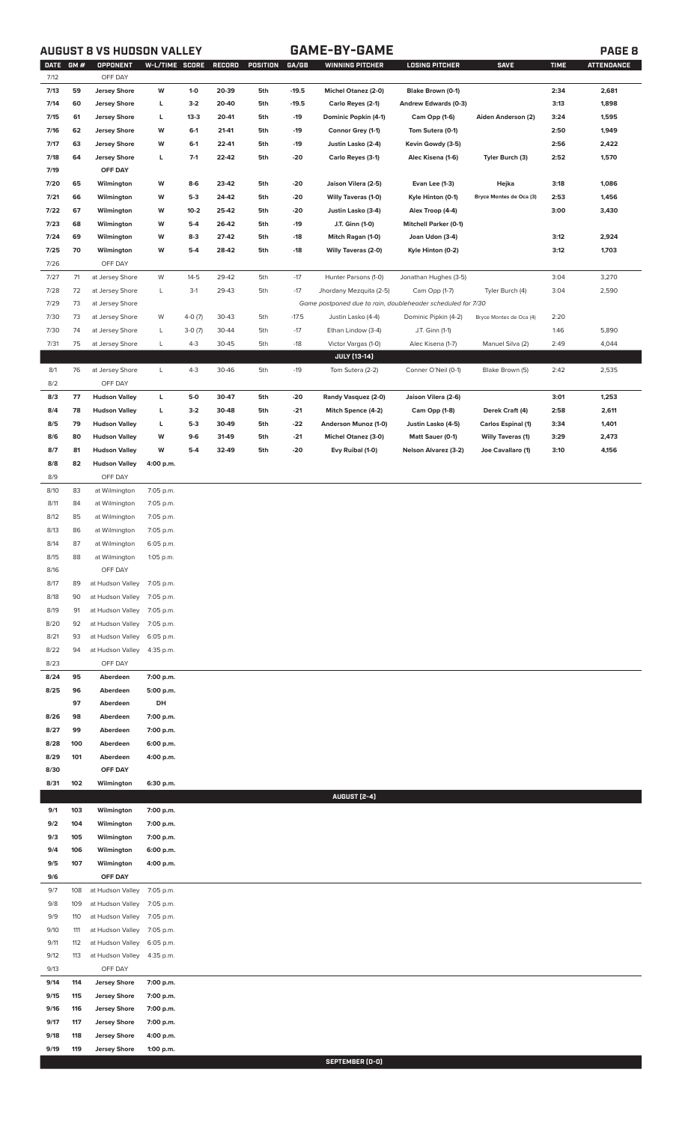### **AUGUST 8 VS HUDSON VALLEY GAME-BY-GAME PAGE 8**

|      | DATE GM # | <b>OPPONENT</b>      | W-L/TIME SCORE |          | RECORD | POSITION | GA/GB   | <b>WINNING PITCHER</b>                                      | <b>LOSING PITCHER</b>        | <b>SAVE</b>              | <b>TIME</b> | <b>ATTENDANCE</b> |
|------|-----------|----------------------|----------------|----------|--------|----------|---------|-------------------------------------------------------------|------------------------------|--------------------------|-------------|-------------------|
| 7/12 |           | OFF DAY              |                |          |        |          |         |                                                             |                              |                          |             |                   |
| 7/13 | 59        | <b>Jersey Shore</b>  | W              | $1-0$    | 20-39  | 5th      | $-19.5$ | <b>Michel Otanez (2-0)</b>                                  | Blake Brown (0-1)            |                          | 2:34        | 2,681             |
| 7/14 | 60        | <b>Jersey Shore</b>  | L              | $3-2$    | 20-40  | 5th      | $-19.5$ | Carlo Reyes (2-1)                                           | Andrew Edwards (0-3)         |                          | 3:13        | 1,898             |
| 7/15 | 61        | <b>Jersey Shore</b>  | L              | $13 - 3$ | 20-41  | 5th      | -19     | Dominic Popkin (4-1)                                        | Cam Opp (1-6)                | Aiden Anderson (2)       | 3:24        | 1,595             |
|      |           |                      |                |          |        |          |         |                                                             |                              |                          |             |                   |
| 7/16 | 62        | <b>Jersey Shore</b>  | W              | $6 - 1$  | 21-41  | 5th      | -19     | Connor Grey (1-1)                                           | Tom Sutera (0-1)             |                          | 2:50        | 1,949             |
| 7/17 | 63        | <b>Jersey Shore</b>  | W              | $6 - 1$  | 22-41  | 5th      | -19     | Justin Lasko (2-4)                                          | Kevin Gowdy (3-5)            |                          | 2:56        | 2,422             |
| 7/18 | 64        | <b>Jersey Shore</b>  | г              | $7-1$    | 22-42  | 5th      | -20     | Carlo Reyes (3-1)                                           | Alec Kisena (1-6)            | Tyler Burch (3)          | 2:52        | 1,570             |
| 7/19 |           | OFF DAY              |                |          |        |          |         |                                                             |                              |                          |             |                   |
|      |           |                      |                |          |        |          |         |                                                             |                              |                          |             |                   |
| 7/20 | 65        | Wilmington           | W              | $8-6$    | 23-42  | 5th      | -20     | Jaison Vilera (2-5)                                         | Evan Lee (1-3)               | Hejka                    | 3:18        | 1,086             |
| 7/21 | 66        | Wilmington           | W              | $5-3$    | 24-42  | 5th      | -20     | Willy Taveras (1-0)                                         | Kyle Hinton (0-1)            | Bryce Montes de Oca (3)  | 2:53        | 1,456             |
| 7/22 | 67        | Wilmington           | W              | $10 - 2$ | 25-42  | 5th      | -20     | Justin Lasko (3-4)                                          | Alex Troop (4-4)             |                          | 3:00        | 3,430             |
| 7/23 | 68        | Wilmington           | W              | $5-4$    | 26-42  | 5th      | -19     | J.T. Ginn (1-0)                                             | <b>Mitchell Parker (0-1)</b> |                          |             |                   |
|      |           |                      |                |          |        |          |         |                                                             |                              |                          |             |                   |
| 7/24 | 69        | Wilmington           | W              | $8-3$    | 27-42  | 5th      | -18     | Mitch Ragan (1-0)                                           | Joan Udon (3-4)              |                          | 3:12        | 2,924             |
| 7/25 | 70        | Wilmington           | W              | $5-4$    | 28-42  | 5th      | -18     | Willy Taveras (2-0)                                         | Kyle Hinton (0-2)            |                          | 3:12        | 1,703             |
| 7/26 |           | OFF DAY              |                |          |        |          |         |                                                             |                              |                          |             |                   |
| 7/27 | 71        | at Jersey Shore      | W              | $14 - 5$ | 29-42  | 5th      | $-17$   | Hunter Parsons (1-0)                                        | Jonathan Hughes (3-5)        |                          | 3:04        | 3,270             |
| 7/28 | 72        | at Jersey Shore      | L              | $3-1$    | 29-43  | 5th      | $-17$   | Jhordany Mezquita (2-5)                                     | Cam Opp (1-7)                | Tyler Burch (4)          | 3:04        | 2,590             |
|      |           |                      |                |          |        |          |         |                                                             |                              |                          |             |                   |
| 7/29 | 73        | at Jersey Shore      |                |          |        |          |         | Game postponed due to rain, doubleheader scheduled for 7/30 |                              |                          |             |                   |
| 7/30 | 73        | at Jersey Shore      | W              | $4-0(7)$ | 30-43  | 5th      | $-17.5$ | Justin Lasko (4-4)                                          | Dominic Pipkin (4-2)         | Bryce Montes de Oca (4)  | 2:20        |                   |
| 7/30 | 74        | at Jersey Shore      | L              | $3-0(7)$ | 30-44  | 5th      | $-17$   | Ethan Lindow (3-4)                                          | J.T. Ginn (1-1)              |                          | 1:46        | 5,890             |
| 7/31 | 75        |                      | L              | $4 - 3$  | 30-45  | 5th      | $-18$   |                                                             |                              | Manuel Silva (2)         | 2:49        | 4,044             |
|      |           | at Jersey Shore      |                |          |        |          |         | Victor Vargas (1-0)                                         | Alec Kisena (1-7)            |                          |             |                   |
|      |           |                      |                |          |        |          |         | JULY [13-14]                                                |                              |                          |             |                   |
| 8/1  | 76        | at Jersey Shore      | L              | $4 - 3$  | 30-46  | 5th      | $-19$   | Tom Sutera (2-2)                                            | Conner O'Neil (0-1)          | Blake Brown (5)          | 2:42        | 2,535             |
| 8/2  |           | OFF DAY              |                |          |        |          |         |                                                             |                              |                          |             |                   |
| 8/3  | 77        | <b>Hudson Valley</b> | г              | 5-0      | 30-47  | 5th      | -20     | Randy Vasquez (2-0)                                         | Jaison Vilera (2-6)          |                          | 3:01        | 1,253             |
|      |           |                      |                |          |        |          |         |                                                             |                              |                          |             |                   |
| 8/4  | 78        | <b>Hudson Valley</b> | г              | $3-2$    | 30-48  | 5th      | -21     | Mitch Spence (4-2)                                          | Cam Opp (1-8)                | Derek Craft (4)          | 2:58        | 2,611             |
| 8/5  | 79        | <b>Hudson Valley</b> | г              | $5-3$    | 30-49  | 5th      | -22     | Anderson Munoz (1-0)                                        | Justin Lasko (4-5)           | Carlos Espinal (1)       | 3:34        | 1,401             |
| 8/6  | 80        | <b>Hudson Valley</b> | W              | $9-6$    | 31-49  | 5th      | -21     | <b>Michel Otanez (3-0)</b>                                  | Matt Sauer (0-1)             | <b>Willy Taveras (1)</b> | 3:29        | 2,473             |
| 8/7  | 81        | <b>Hudson Valley</b> | W              | $5-4$    | 32-49  | 5th      | -20     | Evy Ruibal (1-0)                                            | <b>Nelson Alvarez (3-2)</b>  | Joe Cavallaro (1)        | 3:10        | 4,156             |
|      |           |                      |                |          |        |          |         |                                                             |                              |                          |             |                   |
| 8/8  | 82        | <b>Hudson Valley</b> | 4:00 p.m.      |          |        |          |         |                                                             |                              |                          |             |                   |
| 8/9  |           | OFF DAY              |                |          |        |          |         |                                                             |                              |                          |             |                   |
| 8/10 | 83        | at Wilmington        | 7:05 p.m.      |          |        |          |         |                                                             |                              |                          |             |                   |
| 8/11 | 84        | at Wilmington        | 7:05 p.m.      |          |        |          |         |                                                             |                              |                          |             |                   |
| 8/12 | 85        | at Wilmington        | 7:05 p.m.      |          |        |          |         |                                                             |                              |                          |             |                   |
|      |           |                      |                |          |        |          |         |                                                             |                              |                          |             |                   |
| 8/13 | 86        | at Wilmington        | 7:05 p.m.      |          |        |          |         |                                                             |                              |                          |             |                   |
| 8/14 | 87        | at Wilmington        | 6:05 p.m.      |          |        |          |         |                                                             |                              |                          |             |                   |
| 8/15 | 88        | at Wilmington        | 1:05 p.m.      |          |        |          |         |                                                             |                              |                          |             |                   |
| 8/16 |           | OFF DAY              |                |          |        |          |         |                                                             |                              |                          |             |                   |
|      |           |                      |                |          |        |          |         |                                                             |                              |                          |             |                   |
| 8/17 | 89        | at Hudson Valley     | 7:05 p.m.      |          |        |          |         |                                                             |                              |                          |             |                   |
| 8/18 | 90        | at Hudson Valley     | 7:05 p.m.      |          |        |          |         |                                                             |                              |                          |             |                   |
| 8/19 | 91        | at Hudson Valley     | 7:05 p.m.      |          |        |          |         |                                                             |                              |                          |             |                   |
| 8/20 | 92        | at Hudson Valley     | 7:05 p.m.      |          |        |          |         |                                                             |                              |                          |             |                   |
|      |           |                      |                |          |        |          |         |                                                             |                              |                          |             |                   |
| 8/21 | 93        | at Hudson Valley     | 6:05 p.m.      |          |        |          |         |                                                             |                              |                          |             |                   |
| 8/22 | 94        | at Hudson Valley     | 4:35 p.m.      |          |        |          |         |                                                             |                              |                          |             |                   |
| 8/23 |           | OFF DAY              |                |          |        |          |         |                                                             |                              |                          |             |                   |
| 8/24 | 95        | Aberdeen             | 7:00 p.m.      |          |        |          |         |                                                             |                              |                          |             |                   |
|      |           |                      |                |          |        |          |         |                                                             |                              |                          |             |                   |
| 8/25 | 96        | Aberdeen             | 5:00 p.m.      |          |        |          |         |                                                             |                              |                          |             |                   |
|      | 97        | Aberdeen             | DH             |          |        |          |         |                                                             |                              |                          |             |                   |
| 8/26 | 98        | Aberdeen             | 7:00 p.m.      |          |        |          |         |                                                             |                              |                          |             |                   |
| 8/27 | 99        | Aberdeen             | 7:00 p.m.      |          |        |          |         |                                                             |                              |                          |             |                   |
|      |           |                      |                |          |        |          |         |                                                             |                              |                          |             |                   |
| 8/28 | 100       | Aberdeen             | 6:00 p.m.      |          |        |          |         |                                                             |                              |                          |             |                   |
| 8/29 | 101       | Aberdeen             | 4:00 p.m.      |          |        |          |         |                                                             |                              |                          |             |                   |
| 8/30 |           | OFF DAY              |                |          |        |          |         |                                                             |                              |                          |             |                   |
| 8/31 | 102       | Wilmington           | 6:30 p.m.      |          |        |          |         |                                                             |                              |                          |             |                   |
|      |           |                      |                |          |        |          |         | <b>AUGUST [2-4]</b>                                         |                              |                          |             |                   |
|      |           |                      |                |          |        |          |         |                                                             |                              |                          |             |                   |
| 9/1  | 103       | Wilmington           | 7:00 p.m.      |          |        |          |         |                                                             |                              |                          |             |                   |
| 9/2  | 104       | Wilmington           | 7:00 p.m.      |          |        |          |         |                                                             |                              |                          |             |                   |
| 9/3  | 105       | Wilmington           | 7:00 p.m.      |          |        |          |         |                                                             |                              |                          |             |                   |
| 9/4  | 106       | Wilmington           | 6:00 p.m.      |          |        |          |         |                                                             |                              |                          |             |                   |
|      |           |                      |                |          |        |          |         |                                                             |                              |                          |             |                   |
| 9/5  | 107       | Wilmington           | 4:00 p.m.      |          |        |          |         |                                                             |                              |                          |             |                   |
| 9/6  |           | OFF DAY              |                |          |        |          |         |                                                             |                              |                          |             |                   |
| 9/7  | 108       | at Hudson Valley     | 7:05 p.m.      |          |        |          |         |                                                             |                              |                          |             |                   |
| 9/8  | 109       | at Hudson Valley     | 7:05 p.m.      |          |        |          |         |                                                             |                              |                          |             |                   |
|      |           |                      |                |          |        |          |         |                                                             |                              |                          |             |                   |
| 9/9  | 110       | at Hudson Valley     | 7:05 p.m.      |          |        |          |         |                                                             |                              |                          |             |                   |
| 9/10 | 111       | at Hudson Valley     | 7:05 p.m.      |          |        |          |         |                                                             |                              |                          |             |                   |
| 9/11 | 112       | at Hudson Valley     | 6:05 p.m.      |          |        |          |         |                                                             |                              |                          |             |                   |
| 9/12 | 113       | at Hudson Valley     | 4:35 p.m.      |          |        |          |         |                                                             |                              |                          |             |                   |
| 9/13 |           | OFF DAY              |                |          |        |          |         |                                                             |                              |                          |             |                   |
|      |           |                      |                |          |        |          |         |                                                             |                              |                          |             |                   |
| 9/14 | 114       | <b>Jersey Shore</b>  | 7:00 p.m.      |          |        |          |         |                                                             |                              |                          |             |                   |
| 9/15 | 115       | <b>Jersey Shore</b>  | 7:00 p.m.      |          |        |          |         |                                                             |                              |                          |             |                   |
| 9/16 | 116       | <b>Jersey Shore</b>  | 7:00 p.m.      |          |        |          |         |                                                             |                              |                          |             |                   |
| 9/17 | 117       | <b>Jersey Shore</b>  | 7:00 p.m.      |          |        |          |         |                                                             |                              |                          |             |                   |
|      |           |                      |                |          |        |          |         |                                                             |                              |                          |             |                   |
| 9/18 | 118       | <b>Jersey Shore</b>  | 4:00 p.m.      |          |        |          |         |                                                             |                              |                          |             |                   |
| 9/19 | 119       | <b>Jersey Shore</b>  | 1:00 p.m.      |          |        |          |         |                                                             |                              |                          |             |                   |